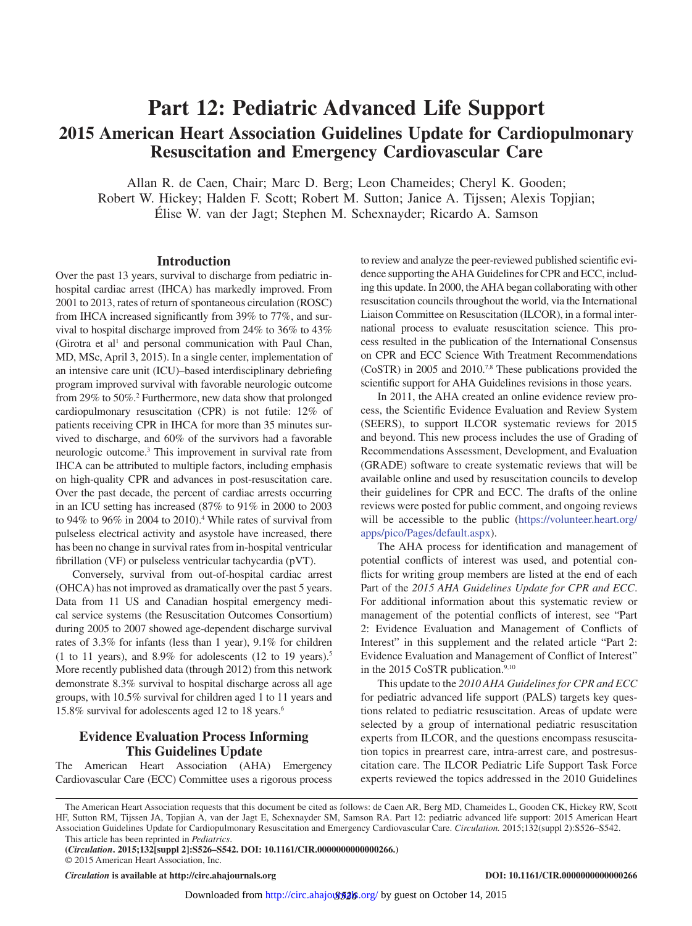# **Part 12: Pediatric Advanced Life Support 2015 American Heart Association Guidelines Update for Cardiopulmonary Resuscitation and Emergency Cardiovascular Care**

Allan R. de Caen, Chair; Marc D. Berg; Leon Chameides; Cheryl K. Gooden; Robert W. Hickey; Halden F. Scott; Robert M. Sutton; Janice A. Tijssen; Alexis Topjian; Élise W. van der Jagt; Stephen M. Schexnayder; Ricardo A. Samson

## **Introduction**

Over the past 13 years, survival to discharge from pediatric inhospital cardiac arrest (IHCA) has markedly improved. From 2001 to 2013, rates of return of spontaneous circulation (ROSC) from IHCA increased significantly from 39% to 77%, and survival to hospital discharge improved from 24% to 36% to 43% (Girotra et al<sup>1</sup> and personal communication with Paul Chan, MD, MSc, April 3, 2015). In a single center, implementation of an intensive care unit (ICU)–based interdisciplinary debriefing program improved survival with favorable neurologic outcome from 29% to 50%.2 Furthermore, new data show that prolonged cardiopulmonary resuscitation (CPR) is not futile: 12% of patients receiving CPR in IHCA for more than 35 minutes survived to discharge, and 60% of the survivors had a favorable neurologic outcome.3 This improvement in survival rate from IHCA can be attributed to multiple factors, including emphasis on high-quality CPR and advances in post-resuscitation care. Over the past decade, the percent of cardiac arrests occurring in an ICU setting has increased (87% to 91% in 2000 to 2003 to 94% to 96% in 2004 to 2010).4 While rates of survival from pulseless electrical activity and asystole have increased, there has been no change in survival rates from in-hospital ventricular fibrillation (VF) or pulseless ventricular tachycardia (pVT).

Conversely, survival from out-of-hospital cardiac arrest (OHCA) has not improved as dramatically over the past 5 years. Data from 11 US and Canadian hospital emergency medical service systems (the Resuscitation Outcomes Consortium) during 2005 to 2007 showed age-dependent discharge survival rates of 3.3% for infants (less than 1 year), 9.1% for children (1 to 11 years), and  $8.9\%$  for adolescents (12 to 19 years).<sup>5</sup> More recently published data (through 2012) from this network demonstrate 8.3% survival to hospital discharge across all age groups, with 10.5% survival for children aged 1 to 11 years and 15.8% survival for adolescents aged 12 to 18 years.6

## **Evidence Evaluation Process Informing This Guidelines Update**

The American Heart Association (AHA) Emergency Cardiovascular Care (ECC) Committee uses a rigorous process to review and analyze the peer-reviewed published scientific evidence supporting the AHA Guidelines for CPR and ECC, including this update. In 2000, the AHA began collaborating with other resuscitation councils throughout the world, via the International Liaison Committee on Resuscitation (ILCOR), in a formal international process to evaluate resuscitation science. This process resulted in the publication of the International Consensus on CPR and ECC Science With Treatment Recommendations (CoSTR) in 2005 and 2010.7,8 These publications provided the scientific support for AHA Guidelines revisions in those years.

In 2011, the AHA created an online evidence review process, the Scientific Evidence Evaluation and Review System (SEERS), to support ILCOR systematic reviews for 2015 and beyond. This new process includes the use of Grading of Recommendations Assessment, Development, and Evaluation (GRADE) software to create systematic reviews that will be available online and used by resuscitation councils to develop their guidelines for CPR and ECC. The drafts of the online reviews were posted for public comment, and ongoing reviews will be accessible to the public ([https://volunteer.heart.org/](https://volunteer.heart.org/apps/pico/Pages/default.aspx) [apps/pico/Pages/default.aspx\)](https://volunteer.heart.org/apps/pico/Pages/default.aspx).

The AHA process for identification and management of potential conflicts of interest was used, and potential conflicts for writing group members are listed at the end of each Part of the *2015 AHA Guidelines Update for CPR and ECC*. For additional information about this systematic review or management of the potential conflicts of interest, see "Part 2: Evidence Evaluation and Management of Conflicts of Interest" in this supplement and the related article "Part 2: Evidence Evaluation and Management of Conflict of Interest" in the 2015 CoSTR publication.<sup>9,10</sup>

This update to the *2010 AHA Guidelines for CPR and ECC* for pediatric advanced life support (PALS) targets key questions related to pediatric resuscitation. Areas of update were selected by a group of international pediatric resuscitation experts from ILCOR, and the questions encompass resuscitation topics in prearrest care, intra-arrest care, and postresuscitation care. The ILCOR Pediatric Life Support Task Force experts reviewed the topics addressed in the 2010 Guidelines

The American Heart Association requests that this document be cited as follows: de Caen AR, Berg MD, Chameides L, Gooden CK, Hickey RW, Scott HF, Sutton RM, Tijssen JA, Topjian A, van der Jagt E, Schexnayder SM, Samson RA. Part 12: pediatric advanced life support: 2015 American Heart Association Guidelines Update for Cardiopulmonary Resuscitation and Emergency Cardiovascular Care. *Circulation.* 2015;132(suppl 2):S526–S542. This article has been reprinted in *Pediatrics*.

*Circulation* **is available at http://circ.ahajournals.org DOI: 10.1161/CIR.0000000000000266**

**<sup>(</sup>***Circulation***. 2015;132[suppl 2]:S526–S542. DOI: 10.1161/CIR.0000000000000266.)**

<sup>© 2015</sup> American Heart Association, Inc.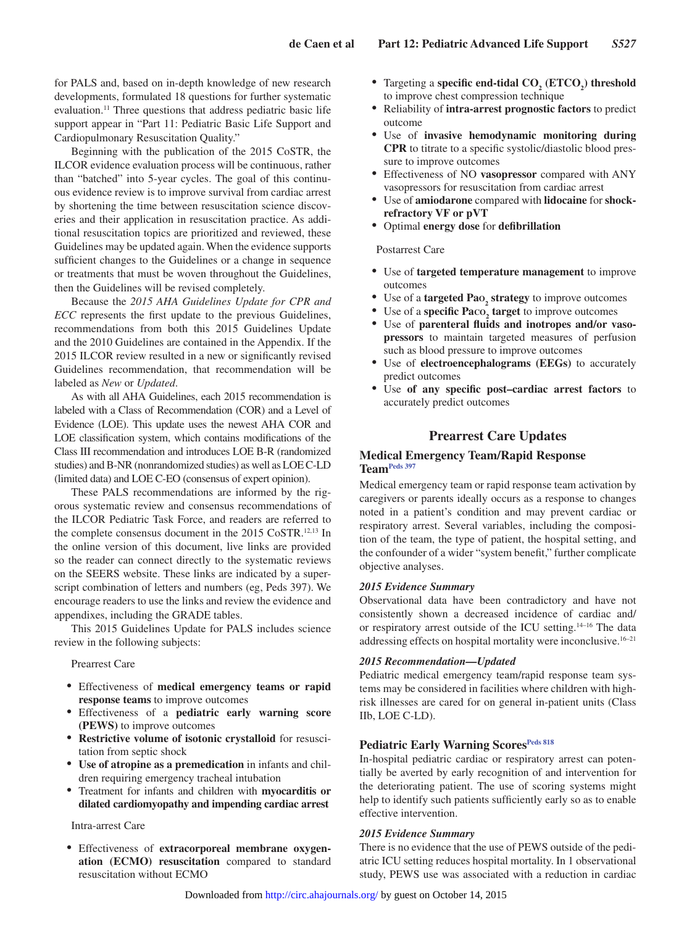for PALS and, based on in-depth knowledge of new research developments, formulated 18 questions for further systematic evaluation.<sup>11</sup> Three questions that address pediatric basic life support appear in "Part 11: Pediatric Basic Life Support and Cardiopulmonary Resuscitation Quality."

Beginning with the publication of the 2015 CoSTR, the ILCOR evidence evaluation process will be continuous, rather than "batched" into 5-year cycles. The goal of this continuous evidence review is to improve survival from cardiac arrest by shortening the time between resuscitation science discoveries and their application in resuscitation practice. As additional resuscitation topics are prioritized and reviewed, these Guidelines may be updated again. When the evidence supports sufficient changes to the Guidelines or a change in sequence or treatments that must be woven throughout the Guidelines, then the Guidelines will be revised completely.

Because the *2015 AHA Guidelines Update for CPR and ECC* represents the first update to the previous Guidelines, recommendations from both this 2015 Guidelines Update and the 2010 Guidelines are contained in the Appendix. If the 2015 ILCOR review resulted in a new or significantly revised Guidelines recommendation, that recommendation will be labeled as *New* or *Updated*.

As with all AHA Guidelines, each 2015 recommendation is labeled with a Class of Recommendation (COR) and a Level of Evidence (LOE). This update uses the newest AHA COR and LOE classification system, which contains modifications of the Class III recommendation and introduces LOE B-R (randomized studies) and B-NR (nonrandomized studies) as well as LOE C-LD (limited data) and LOE C-EO (consensus of expert opinion).

These PALS recommendations are informed by the rigorous systematic review and consensus recommendations of the ILCOR Pediatric Task Force, and readers are referred to the complete consensus document in the 2015 CoSTR.<sup>12,13</sup> In the online version of this document, live links are provided so the reader can connect directly to the systematic reviews on the SEERS website. These links are indicated by a superscript combination of letters and numbers (eg, Peds 397). We encourage readers to use the links and review the evidence and appendixes, including the GRADE tables.

This 2015 Guidelines Update for PALS includes science review in the following subjects:

#### Prearrest Care

- • Effectiveness of **medical emergency teams or rapid response teams** to improve outcomes
- • Effectiveness of a **pediatric early warning score (PEWS)** to improve outcomes
- • **Restrictive volume of isotonic crystalloid** for resuscitation from septic shock
- • **Use of atropine as a premedication** in infants and children requiring emergency tracheal intubation
- • Treatment for infants and children with **myocarditis or dilated cardiomyopathy and impending cardiac arrest**

#### Intra-arrest Care

Effectiveness of extracorporeal membrane oxygen**ation (ECMO) resuscitation** compared to standard resuscitation without ECMO

- Targeting a **specific end-tidal CO<sub>2</sub>** (ETCO<sub>2</sub>) threshold to improve chest compression technique
- • Reliability of **intra-arrest prognostic factors** to predict outcome
- • Use of **invasive hemodynamic monitoring during CPR** to titrate to a specific systolic/diastolic blood pressure to improve outcomes
- • Effectiveness of NO **vasopressor** compared with ANY vasopressors for resuscitation from cardiac arrest
- • Use of **amiodarone** compared with **lidocaine** for **shockrefractory VF or pVT**
- • Optimal **energy dose** for **defibrillation**

#### Postarrest Care

- • Use of **targeted temperature management** to improve outcomes
- • Use of a **targeted Pao<sup>2</sup> strategy** to improve outcomes
- Use of a **specific Pa**co<sub>2</sub> **target** to improve outcomes
- • Use of **parenteral fluids and inotropes and/or vasopressors** to maintain targeted measures of perfusion such as blood pressure to improve outcomes
- • Use of **electroencephalograms (EEGs)** to accurately predict outcomes
- Use of any specific post-cardiac arrest factors to accurately predict outcomes

## **Prearrest Care Updates**

#### **Medical Emergency Team/Rapid Response Team[Peds 397](https://volunteer.heart.org/apps/pico/Pages/PublicComment.aspx?q=397)**

Medical emergency team or rapid response team activation by caregivers or parents ideally occurs as a response to changes noted in a patient's condition and may prevent cardiac or respiratory arrest. Several variables, including the composition of the team, the type of patient, the hospital setting, and the confounder of a wider "system benefit," further complicate objective analyses.

#### *2015 Evidence Summary*

Observational data have been contradictory and have not consistently shown a decreased incidence of cardiac and/ or respiratory arrest outside of the ICU setting.14–16 The data addressing effects on hospital mortality were inconclusive.16–21

#### *2015 Recommendation—Updated*

Pediatric medical emergency team/rapid response team systems may be considered in facilities where children with highrisk illnesses are cared for on general in-patient units (Class IIb, LOE C-LD).

#### **Pediatric Early Warning Scores[Peds 818](https://volunteer.heart.org/apps/pico/Pages/PublicComment.aspx?q=818)**

In-hospital pediatric cardiac or respiratory arrest can potentially be averted by early recognition of and intervention for the deteriorating patient. The use of scoring systems might help to identify such patients sufficiently early so as to enable effective intervention.

#### *2015 Evidence Summary*

There is no evidence that the use of PEWS outside of the pediatric ICU setting reduces hospital mortality. In 1 observational study, PEWS use was associated with a reduction in cardiac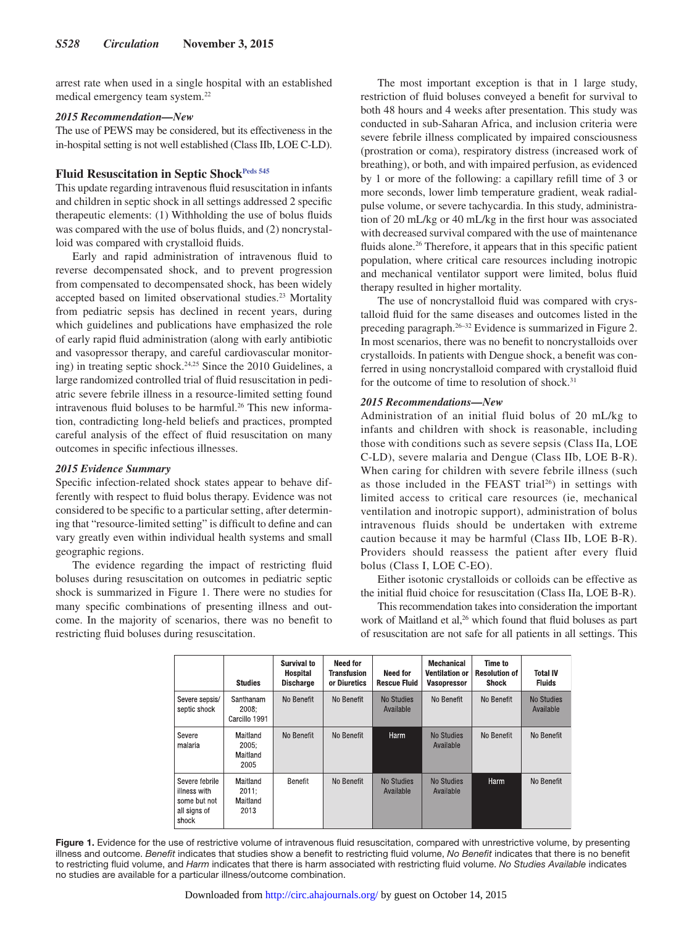arrest rate when used in a single hospital with an established medical emergency team system.22

#### *2015 Recommendation—New*

The use of PEWS may be considered, but its effectiveness in the in-hospital setting is not well established (Class IIb, LOE C-LD).

## Fluid Resuscitation in Septic Shock<sup>Peds 545</sup>

This update regarding intravenous fluid resuscitation in infants and children in septic shock in all settings addressed 2 specific therapeutic elements: (1) Withholding the use of bolus fluids was compared with the use of bolus fluids, and (2) noncrystalloid was compared with crystalloid fluids.

Early and rapid administration of intravenous fluid to reverse decompensated shock, and to prevent progression from compensated to decompensated shock, has been widely accepted based on limited observational studies.23 Mortality from pediatric sepsis has declined in recent years, during which guidelines and publications have emphasized the role of early rapid fluid administration (along with early antibiotic and vasopressor therapy, and careful cardiovascular monitoring) in treating septic shock.24,25 Since the 2010 Guidelines, a large randomized controlled trial of fluid resuscitation in pediatric severe febrile illness in a resource-limited setting found intravenous fluid boluses to be harmful.<sup>26</sup> This new information, contradicting long-held beliefs and practices, prompted careful analysis of the effect of fluid resuscitation on many outcomes in specific infectious illnesses.

#### *2015 Evidence Summary*

Specific infection-related shock states appear to behave differently with respect to fluid bolus therapy. Evidence was not considered to be specific to a particular setting, after determining that "resource-limited setting" is difficult to define and can vary greatly even within individual health systems and small geographic regions.

The evidence regarding the impact of restricting fluid boluses during resuscitation on outcomes in pediatric septic shock is summarized in Figure 1. There were no studies for many specific combinations of presenting illness and outcome. In the majority of scenarios, there was no benefit to restricting fluid boluses during resuscitation.

The most important exception is that in 1 large study, restriction of fluid boluses conveyed a benefit for survival to both 48 hours and 4 weeks after presentation. This study was conducted in sub-Saharan Africa, and inclusion criteria were severe febrile illness complicated by impaired consciousness (prostration or coma), respiratory distress (increased work of breathing), or both, and with impaired perfusion, as evidenced by 1 or more of the following: a capillary refill time of 3 or more seconds, lower limb temperature gradient, weak radialpulse volume, or severe tachycardia. In this study, administration of 20 mL/kg or 40 mL/kg in the first hour was associated with decreased survival compared with the use of maintenance fluids alone.<sup>26</sup> Therefore, it appears that in this specific patient population, where critical care resources including inotropic and mechanical ventilator support were limited, bolus fluid therapy resulted in higher mortality.

The use of noncrystalloid fluid was compared with crystalloid fluid for the same diseases and outcomes listed in the preceding paragraph.26–32 Evidence is summarized in Figure 2. In most scenarios, there was no benefit to noncrystalloids over crystalloids. In patients with Dengue shock, a benefit was conferred in using noncrystalloid compared with crystalloid fluid for the outcome of time to resolution of shock.<sup>31</sup>

## *2015 Recommendations—New*

Administration of an initial fluid bolus of 20 mL/kg to infants and children with shock is reasonable, including those with conditions such as severe sepsis (Class IIa, LOE C-LD), severe malaria and Dengue (Class IIb, LOE B-R). When caring for children with severe febrile illness (such as those included in the FEAST trial<sup>26</sup>) in settings with limited access to critical care resources (ie, mechanical ventilation and inotropic support), administration of bolus intravenous fluids should be undertaken with extreme caution because it may be harmful (Class IIb, LOE B-R). Providers should reassess the patient after every fluid bolus (Class I, LOE C-EO).

Either isotonic crystalloids or colloids can be effective as the initial fluid choice for resuscitation (Class IIa, LOE B-R).

This recommendation takes into consideration the important work of Maitland et al,<sup>26</sup> which found that fluid boluses as part of resuscitation are not safe for all patients in all settings. This

|                                                                         | <b>Studies</b>                        | Survival to<br>Hospital<br><b>Discharge</b> | <b>Need for</b><br>Transfusion<br>or Diuretics | <b>Need for</b><br><b>Rescue Fluid</b> | <b>Mechanical</b><br><b>Ventilation or</b><br><b>Vasopressor</b> | Time to<br><b>Resolution of</b><br>Shock | Total IV<br><b>Fluids</b> |
|-------------------------------------------------------------------------|---------------------------------------|---------------------------------------------|------------------------------------------------|----------------------------------------|------------------------------------------------------------------|------------------------------------------|---------------------------|
| Severe sepsis/<br>septic shock                                          | Santhanam<br>2008:<br>Carcillo 1991   | No Benefit                                  | No Benefit                                     | No Studies<br>Available                | No Benefit                                                       | No Benefit                               | No Studies<br>Available   |
| Severe<br>malaria                                                       | Maitland<br>2005:<br>Maitland<br>2005 | No Benefit                                  | No Benefit                                     | Harm                                   | <b>No Studies</b><br>Available                                   | No Benefit                               | No Benefit                |
| Severe febrile<br>illness with<br>some but not<br>all signs of<br>shock | Maitland<br>2011:<br>Maitland<br>2013 | Benefit                                     | No Benefit                                     | No Studies<br>Available                | <b>No Studies</b><br>Available                                   | Harm                                     | No Benefit                |

Figure 1. Evidence for the use of restrictive volume of intravenous fluid resuscitation, compared with unrestrictive volume, by presenting illness and outcome. *Benefit* indicates that studies show a benefit to restricting fluid volume, *No Benefit* indicates that there is no benefit to restricting fluid volume, and *Harm* indicates that there is harm associated with restricting fluid volume. *No Studies Available* indicates no studies are available for a particular illness/outcome combination.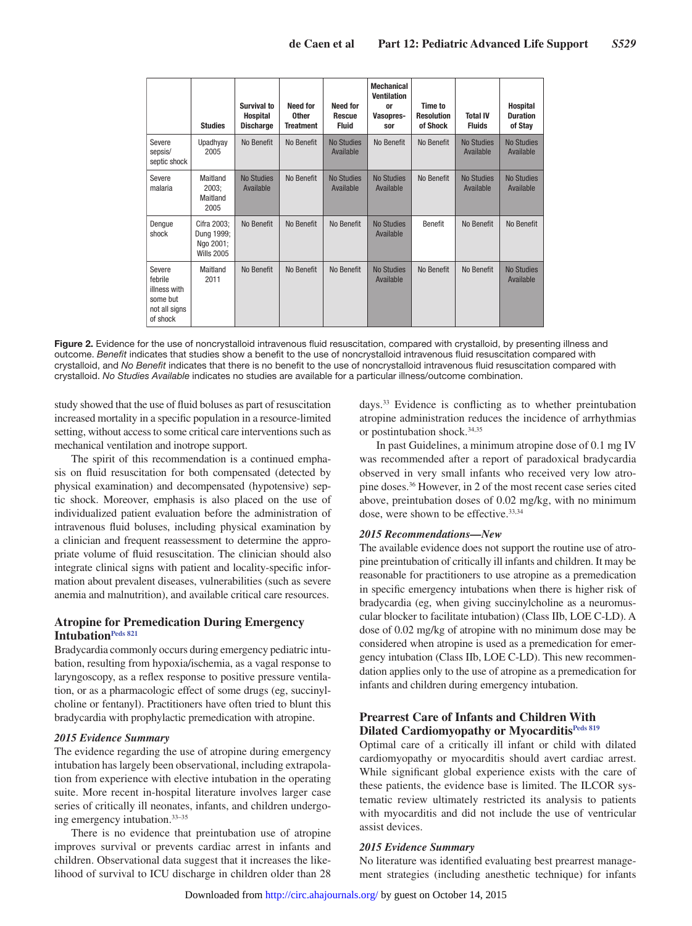|                                                                            | <b>Studies</b>                                              | Survival to<br><b>Hospital</b><br><b>Discharge</b> | Need for<br><b>Other</b><br><b>Treatment</b> | <b>Need for</b><br><b>Rescue</b><br><b>Fluid</b> | <b>Mechanical</b><br><b>Ventilation</b><br>0r<br>Vasopres-<br>sor | Time to<br><b>Resolution</b><br>of Shock | <b>Total IV</b><br><b>Fluids</b> | <b>Hospital</b><br><b>Duration</b><br>of Stay |
|----------------------------------------------------------------------------|-------------------------------------------------------------|----------------------------------------------------|----------------------------------------------|--------------------------------------------------|-------------------------------------------------------------------|------------------------------------------|----------------------------------|-----------------------------------------------|
| Severe<br>sepsis/<br>septic shock                                          | Upadhyay<br>2005                                            | No Benefit                                         | No Benefit                                   | <b>No Studies</b><br>Available                   | No Benefit                                                        | No Benefit                               | <b>No Studies</b><br>Available   | <b>No Studies</b><br>Available                |
| Severe<br>malaria                                                          | Maitland<br>2003:<br>Maitland<br>2005                       | <b>No Studies</b><br>Available                     | No Benefit                                   | <b>No Studies</b><br>Available                   | <b>No Studies</b><br>Available                                    | No Benefit                               | <b>No Studies</b><br>Available   | <b>No Studies</b><br>Available                |
| Dengue<br>shock                                                            | Cifra 2003;<br>Dung 1999;<br>Ngo 2001;<br><b>Wills 2005</b> | No Benefit                                         | No Benefit                                   | No Benefit                                       | <b>No Studies</b><br>Available                                    | Benefit                                  | No Benefit                       | No Benefit                                    |
| Severe<br>febrile<br>illness with<br>some but<br>not all signs<br>of shock | Maitland<br>2011                                            | No Benefit                                         | No Benefit                                   | No Benefit                                       | <b>No Studies</b><br>Available                                    | No Benefit                               | No Benefit                       | <b>No Studies</b><br>Available                |

**Figure 2.** Evidence for the use of noncrystalloid intravenous fluid resuscitation, compared with crystalloid, by presenting illness and outcome. *Benefit* indicates that studies show a benefit to the use of noncrystalloid intravenous fluid resuscitation compared with crystalloid, and *No Benefit* indicates that there is no benefit to the use of noncrystalloid intravenous fluid resuscitation compared with crystalloid. *No Studies Available* indicates no studies are available for a particular illness/outcome combination.

study showed that the use of fluid boluses as part of resuscitation increased mortality in a specific population in a resource-limited setting, without access to some critical care interventions such as mechanical ventilation and inotrope support.

The spirit of this recommendation is a continued emphasis on fluid resuscitation for both compensated (detected by physical examination) and decompensated (hypotensive) septic shock. Moreover, emphasis is also placed on the use of individualized patient evaluation before the administration of intravenous fluid boluses, including physical examination by a clinician and frequent reassessment to determine the appropriate volume of fluid resuscitation. The clinician should also integrate clinical signs with patient and locality-specific information about prevalent diseases, vulnerabilities (such as severe anemia and malnutrition), and available critical care resources.

## **Atropine for Premedication During Emergency Intubation[Peds 821](https://volunteer.heart.org/apps/pico/Pages/PublicComment.aspx?q=821)**

Bradycardia commonly occurs during emergency pediatric intubation, resulting from hypoxia/ischemia, as a vagal response to laryngoscopy, as a reflex response to positive pressure ventilation, or as a pharmacologic effect of some drugs (eg, succinylcholine or fentanyl). Practitioners have often tried to blunt this bradycardia with prophylactic premedication with atropine.

#### *2015 Evidence Summary*

The evidence regarding the use of atropine during emergency intubation has largely been observational, including extrapolation from experience with elective intubation in the operating suite. More recent in-hospital literature involves larger case series of critically ill neonates, infants, and children undergoing emergency intubation.33–35

There is no evidence that preintubation use of atropine improves survival or prevents cardiac arrest in infants and children. Observational data suggest that it increases the likelihood of survival to ICU discharge in children older than 28 days.33 Evidence is conflicting as to whether preintubation atropine administration reduces the incidence of arrhythmias or postintubation shock.34,35

In past Guidelines, a minimum atropine dose of 0.1 mg IV was recommended after a report of paradoxical bradycardia observed in very small infants who received very low atropine doses.36 However, in 2 of the most recent case series cited above, preintubation doses of 0.02 mg/kg, with no minimum dose, were shown to be effective.<sup>33,34</sup>

#### *2015 Recommendations—New*

The available evidence does not support the routine use of atropine preintubation of critically ill infants and children. It may be reasonable for practitioners to use atropine as a premedication in specific emergency intubations when there is higher risk of bradycardia (eg, when giving succinylcholine as a neuromuscular blocker to facilitate intubation) (Class IIb, LOE C-LD). A dose of 0.02 mg/kg of atropine with no minimum dose may be considered when atropine is used as a premedication for emergency intubation (Class IIb, LOE C-LD). This new recommendation applies only to the use of atropine as a premedication for infants and children during emergency intubation.

## **Prearrest Care of Infants and Children With Dilated Cardiomyopathy or Myocarditi[sPeds 819](https://volunteer.heart.org/apps/pico/Pages/PublicComment.aspx?q=819)**

Optimal care of a critically ill infant or child with dilated cardiomyopathy or myocarditis should avert cardiac arrest. While significant global experience exists with the care of these patients, the evidence base is limited. The ILCOR systematic review ultimately restricted its analysis to patients with myocarditis and did not include the use of ventricular assist devices.

#### *2015 Evidence Summary*

No literature was identified evaluating best prearrest management strategies (including anesthetic technique) for infants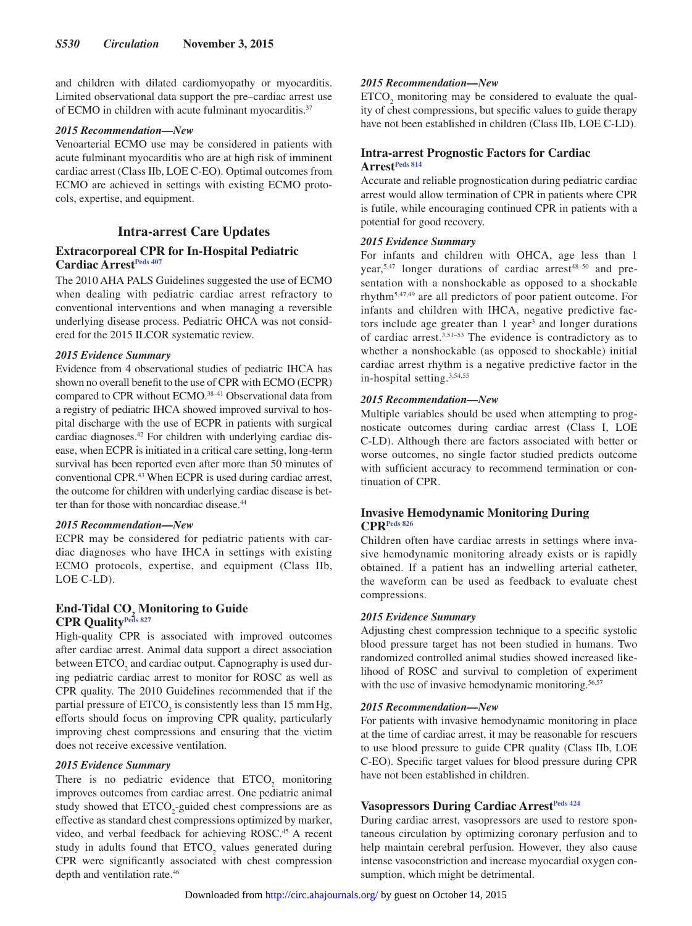and children with dilated cardiomyopathy or myocarditis. Limited observational data support the pre–cardiac arrest use of ECMO in children with acute fulminant myocarditis.37

#### *2015 Recommendation—New*

Venoarterial ECMO use may be considered in patients with acute fulminant myocarditis who are at high risk of imminent cardiac arrest (Class IIb, LOE C-EO). Optimal outcomes from ECMO are achieved in settings with existing ECMO protocols, expertise, and equipment.

## **Intra-arrest Care Updates**

## **Extracorporeal CPR for In-Hospital Pediatric Cardiac Arrest<sup>Peds 407</sup>**

The 2010 AHA PALS Guidelines suggested the use of ECMO when dealing with pediatric cardiac arrest refractory to conventional interventions and when managing a reversible underlying disease process. Pediatric OHCA was not considered for the 2015 ILCOR systematic review.

## *2015 Evidence Summary*

Evidence from 4 observational studies of pediatric IHCA has shown no overall benefit to the use of CPR with ECMO (ECPR) compared to CPR without ECMO.38–41 Observational data from a registry of pediatric IHCA showed improved survival to hospital discharge with the use of ECPR in patients with surgical cardiac diagnoses.42 For children with underlying cardiac disease, when ECPR is initiated in a critical care setting, long-term survival has been reported even after more than 50 minutes of conventional CPR.43 When ECPR is used during cardiac arrest, the outcome for children with underlying cardiac disease is better than for those with noncardiac disease.<sup>44</sup>

#### *2015 Recommendation—New*

ECPR may be considered for pediatric patients with cardiac diagnoses who have IHCA in settings with existing ECMO protocols, expertise, and equipment (Class IIb, LOE C-LD).

## **End-Tidal CO<sub>2</sub> Monitoring to Guide CPR Qualit[yPeds 827](https://volunteer.heart.org/apps/pico/Pages/PublicComment.aspx?q=827)**

High-quality CPR is associated with improved outcomes after cardiac arrest. Animal data support a direct association between  $ETCO<sub>2</sub>$  and cardiac output. Capnography is used during pediatric cardiac arrest to monitor for ROSC as well as CPR quality. The 2010 Guidelines recommended that if the partial pressure of  $ETCO<sub>2</sub>$  is consistently less than 15 mm Hg, efforts should focus on improving CPR quality, particularly improving chest compressions and ensuring that the victim does not receive excessive ventilation.

#### *2015 Evidence Summary*

There is no pediatric evidence that  $ETCO<sub>2</sub>$  monitoring improves outcomes from cardiac arrest. One pediatric animal study showed that  $ETCO_2$ -guided chest compressions are as effective as standard chest compressions optimized by marker, video, and verbal feedback for achieving ROSC.<sup>45</sup> A recent study in adults found that  $ETCO<sub>2</sub>$  values generated during CPR were significantly associated with chest compression depth and ventilation rate.46

## *2015 Recommendation—New*

 $ETCO<sub>2</sub>$  monitoring may be considered to evaluate the quality of chest compressions, but specific values to guide therapy have not been established in children (Class IIb, LOE C-LD).

## **Intra-arrest Prognostic Factors for Cardiac Arrest[Peds 814](https://volunteer.heart.org/apps/pico/Pages/PublicComment.aspx?q=814)**

Accurate and reliable prognostication during pediatric cardiac arrest would allow termination of CPR in patients where CPR is futile, while encouraging continued CPR in patients with a potential for good recovery.

## *2015 Evidence Summary*

For infants and children with OHCA, age less than 1 year, $5,47$  longer durations of cardiac arrest $48-50$  and presentation with a nonshockable as opposed to a shockable rhythm5,47,49 are all predictors of poor patient outcome. For infants and children with IHCA, negative predictive factors include age greater than 1 year<sup>3</sup> and longer durations of cardiac arrest.3,51–53 The evidence is contradictory as to whether a nonshockable (as opposed to shockable) initial cardiac arrest rhythm is a negative predictive factor in the in-hospital setting.3,54,55

## *2015 Recommendation—New*

Multiple variables should be used when attempting to prognosticate outcomes during cardiac arrest (Class I, LOE C-LD). Although there are factors associated with better or worse outcomes, no single factor studied predicts outcome with sufficient accuracy to recommend termination or continuation of CPR.

## **Invasive Hemodynamic Monitoring During CPR[Peds 826](https://volunteer.heart.org/apps/pico/Pages/PublicComment.aspx?q=826)**

Children often have cardiac arrests in settings where invasive hemodynamic monitoring already exists or is rapidly obtained. If a patient has an indwelling arterial catheter, the waveform can be used as feedback to evaluate chest compressions.

#### *2015 Evidence Summary*

Adjusting chest compression technique to a specific systolic blood pressure target has not been studied in humans. Two randomized controlled animal studies showed increased likelihood of ROSC and survival to completion of experiment with the use of invasive hemodynamic monitoring.<sup>56,57</sup>

#### *2015 Recommendation—New*

For patients with invasive hemodynamic monitoring in place at the time of cardiac arrest, it may be reasonable for rescuers to use blood pressure to guide CPR quality (Class IIb, LOE C-EO). Specific target values for blood pressure during CPR have not been established in children.

## **Vasopressors During Cardiac Arrest[Peds 424](https://volunteer.heart.org/apps/pico/Pages/PublicComment.aspx?q=424)**

During cardiac arrest, vasopressors are used to restore spontaneous circulation by optimizing coronary perfusion and to help maintain cerebral perfusion. However, they also cause intense vasoconstriction and increase myocardial oxygen consumption, which might be detrimental.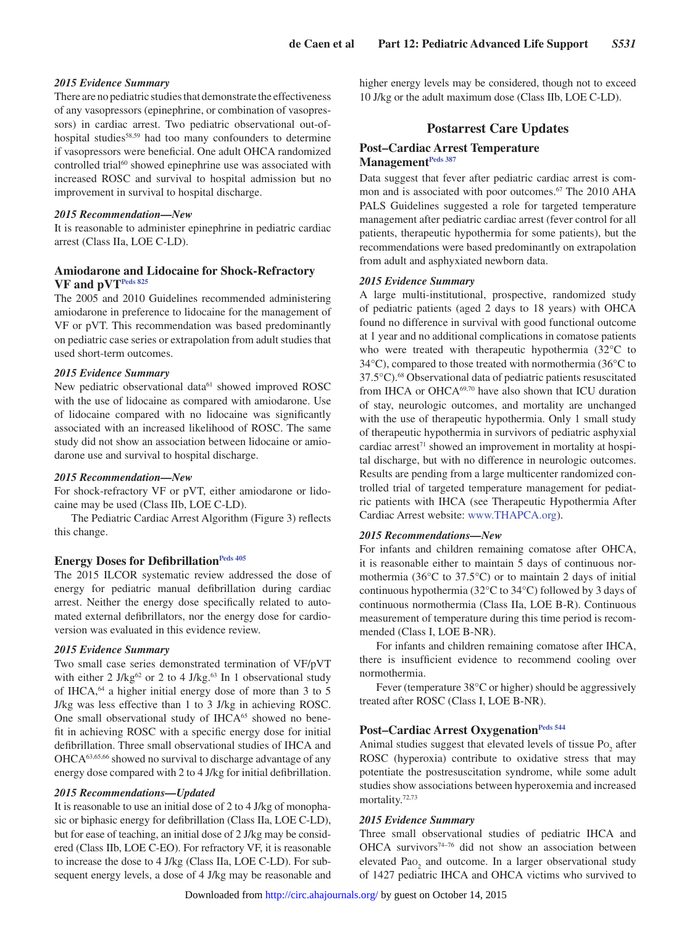### *2015 Evidence Summary*

There are no pediatric studies that demonstrate the effectiveness of any vasopressors (epinephrine, or combination of vasopressors) in cardiac arrest. Two pediatric observational out-ofhospital studies<sup>58,59</sup> had too many confounders to determine if vasopressors were beneficial. One adult OHCA randomized controlled trial<sup>60</sup> showed epinephrine use was associated with increased ROSC and survival to hospital admission but no improvement in survival to hospital discharge.

#### *2015 Recommendation—New*

It is reasonable to administer epinephrine in pediatric cardiac arrest (Class IIa, LOE C-LD).

### **Amiodarone and Lidocaine for Shock-Refractory VF and pVT[Peds 825](https://volunteer.heart.org/apps/pico/Pages/PublicComment.aspx?q=825)**

The 2005 and 2010 Guidelines recommended administering amiodarone in preference to lidocaine for the management of VF or pVT. This recommendation was based predominantly on pediatric case series or extrapolation from adult studies that used short-term outcomes.

#### *2015 Evidence Summary*

New pediatric observational data<sup>61</sup> showed improved ROSC with the use of lidocaine as compared with amiodarone. Use of lidocaine compared with no lidocaine was significantly associated with an increased likelihood of ROSC. The same study did not show an association between lidocaine or amiodarone use and survival to hospital discharge.

#### *2015 Recommendation—New*

For shock-refractory VF or pVT, either amiodarone or lidocaine may be used (Class IIb, LOE C-LD).

The Pediatric Cardiac Arrest Algorithm (Figure 3) reflects this change.

#### **Energy Doses for Defibrillation**Peds 405

The 2015 ILCOR systematic review addressed the dose of energy for pediatric manual defibrillation during cardiac arrest. Neither the energy dose specifically related to automated external defibrillators, nor the energy dose for cardioversion was evaluated in this evidence review.

#### *2015 Evidence Summary*

Two small case series demonstrated termination of VF/pVT with either 2 J/kg<sup>62</sup> or 2 to 4 J/kg.<sup>63</sup> In 1 observational study of IHCA,64 a higher initial energy dose of more than 3 to 5 J/kg was less effective than 1 to 3 J/kg in achieving ROSC. One small observational study of IHCA<sup>65</sup> showed no benefit in achieving ROSC with a specific energy dose for initial defibrillation. Three small observational studies of IHCA and OHCA63,65,66 showed no survival to discharge advantage of any energy dose compared with 2 to 4 J/kg for initial defibrillation.

#### *2015 Recommendations—Updated*

It is reasonable to use an initial dose of 2 to 4 J/kg of monophasic or biphasic energy for defibrillation (Class IIa, LOE C-LD), but for ease of teaching, an initial dose of 2 J/kg may be considered (Class IIb, LOE C-EO). For refractory VF, it is reasonable to increase the dose to 4 J/kg (Class IIa, LOE C-LD). For subsequent energy levels, a dose of 4 J/kg may be reasonable and higher energy levels may be considered, though not to exceed 10 J/kg or the adult maximum dose (Class IIb, LOE C-LD).

## **Postarrest Care Updates**

### **Post–Cardiac Arrest Temperature Management[Peds 387](https://volunteer.heart.org/apps/pico/Pages/PublicComment.aspx?q=387)**

Data suggest that fever after pediatric cardiac arrest is common and is associated with poor outcomes.<sup>67</sup> The 2010 AHA PALS Guidelines suggested a role for targeted temperature management after pediatric cardiac arrest (fever control for all patients, therapeutic hypothermia for some patients), but the recommendations were based predominantly on extrapolation from adult and asphyxiated newborn data.

#### *2015 Evidence Summary*

A large multi-institutional, prospective, randomized study of pediatric patients (aged 2 days to 18 years) with OHCA found no difference in survival with good functional outcome at 1 year and no additional complications in comatose patients who were treated with therapeutic hypothermia (32°C to 34°C), compared to those treated with normothermia (36°C to 37.5°C).68 Observational data of pediatric patients resuscitated from IHCA or OHCA69,70 have also shown that ICU duration of stay, neurologic outcomes, and mortality are unchanged with the use of therapeutic hypothermia. Only 1 small study of therapeutic hypothermia in survivors of pediatric asphyxial cardiac arrest $71$  showed an improvement in mortality at hospital discharge, but with no difference in neurologic outcomes. Results are pending from a large multicenter randomized controlled trial of targeted temperature management for pediatric patients with IHCA (see Therapeutic Hypothermia After Cardiac Arrest website: [www.THAPCA.org\)](https://www.THAPCA.org).

#### *2015 Recommendations—New*

For infants and children remaining comatose after OHCA, it is reasonable either to maintain 5 days of continuous normothermia (36°C to 37.5°C) or to maintain 2 days of initial continuous hypothermia (32°C to 34°C) followed by 3 days of continuous normothermia (Class IIa, LOE B-R). Continuous measurement of temperature during this time period is recommended (Class I, LOE B-NR).

For infants and children remaining comatose after IHCA, there is insufficient evidence to recommend cooling over normothermia.

Fever (temperature 38°C or higher) should be aggressively treated after ROSC (Class I, LOE B-NR).

## Post-Cardiac Arrest Oxygenation<sup>Peds 544</sup>

Animal studies suggest that elevated levels of tissue  $Po_2$  after ROSC (hyperoxia) contribute to oxidative stress that may potentiate the postresuscitation syndrome, while some adult studies show associations between hyperoxemia and increased mortality.<sup>72,73</sup>

#### *2015 Evidence Summary*

Three small observational studies of pediatric IHCA and OHCA survivors<sup>74-76</sup> did not show an association between elevated  $Pao_2$  and outcome. In a larger observational study of 1427 pediatric IHCA and OHCA victims who survived to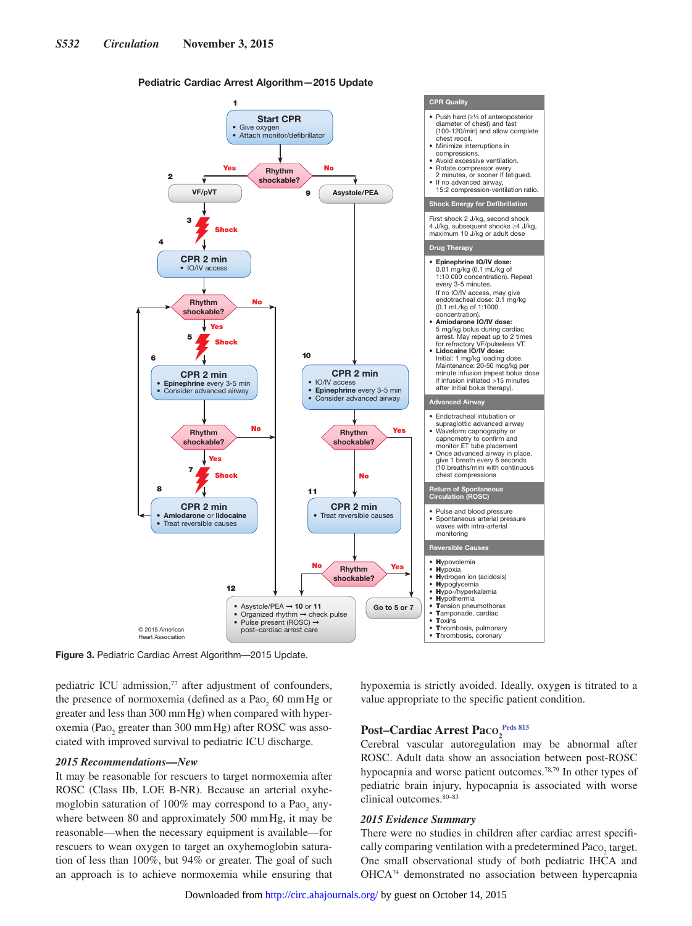#### Pediatric Cardiac Arrest Algorithm—2015 Update



**Figure 3.** Pediatric Cardiac Arrest Algorithm—2015 Update.

pediatric ICU admission,<sup>77</sup> after adjustment of confounders, the presence of normoxemia (defined as a  $PaO<sub>2</sub>$  60 mm Hg or greater and less than 300 mmHg) when compared with hyperoxemia (Pao<sub>2</sub> greater than 300 mmHg) after ROSC was associated with improved survival to pediatric ICU discharge.

#### *2015 Recommendations—New*

It may be reasonable for rescuers to target normoxemia after ROSC (Class IIb, LOE B-NR). Because an arterial oxyhemoglobin saturation of 100% may correspond to a Pao<sub>2</sub> anywhere between 80 and approximately 500 mmHg, it may be reasonable—when the necessary equipment is available—for rescuers to wean oxygen to target an oxyhemoglobin saturation of less than 100%, but 94% or greater. The goal of such an approach is to achieve normoxemia while ensuring that hypoxemia is strictly avoided. Ideally, oxygen is titrated to a value appropriate to the specific patient condition.

## $\textbf{Post--Cardiac~Arrest~Paco}_{2}^{\text{Peds~815}}$

Cerebral vascular autoregulation may be abnormal after ROSC. Adult data show an association between post-ROSC hypocapnia and worse patient outcomes.78,79 In other types of pediatric brain injury, hypocapnia is associated with worse clinical outcomes.80–83

#### *2015 Evidence Summary*

There were no studies in children after cardiac arrest specifically comparing ventilation with a predetermined  $Paco_2$  target. One small observational study of both pediatric IHCA and OHCA74 demonstrated no association between hypercapnia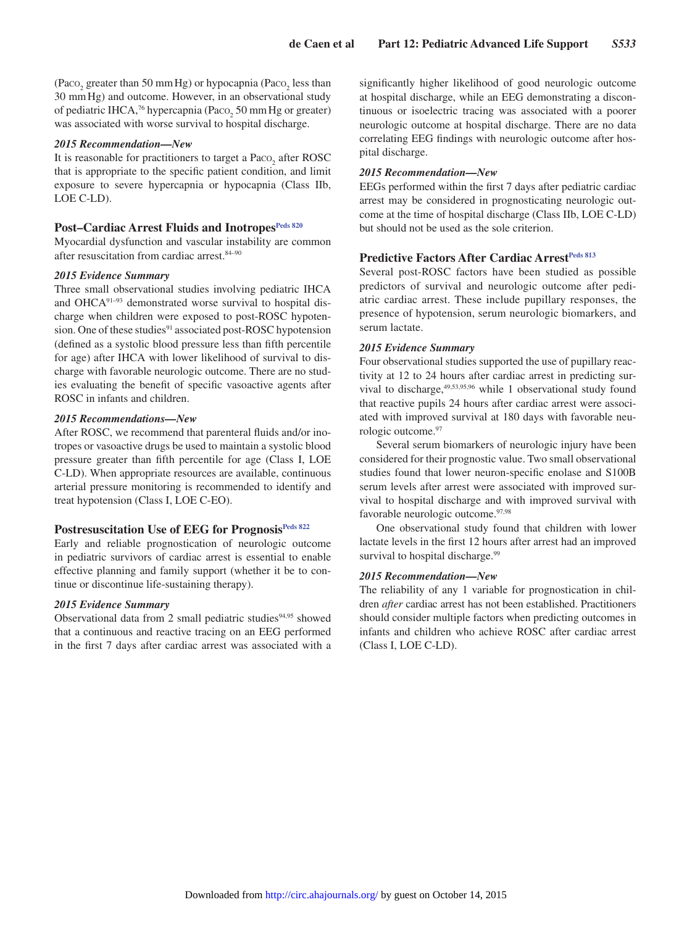(Paco<sub>2</sub> greater than 50 mm Hg) or hypocapnia (Paco<sub>2</sub> less than 30 mmHg) and outcome. However, in an observational study of pediatric IHCA,<sup>76</sup> hypercapnia (Paco<sub>2</sub> 50 mm Hg or greater) was associated with worse survival to hospital discharge.

#### *2015 Recommendation—New*

It is reasonable for practitioners to target a  $\text{Paco}_{2}$  after ROSC that is appropriate to the specific patient condition, and limit exposure to severe hypercapnia or hypocapnia (Class IIb, LOE C-LD).

## Post-Cardiac Arrest Fluids and Inotropes<sup>Peds 820</sup>

Myocardial dysfunction and vascular instability are common after resuscitation from cardiac arrest.<sup>84–90</sup>

#### *2015 Evidence Summary*

Three small observational studies involving pediatric IHCA and OHCA91–93 demonstrated worse survival to hospital discharge when children were exposed to post-ROSC hypotension. One of these studies<sup>91</sup> associated post-ROSC hypotension (defined as a systolic blood pressure less than fifth percentile for age) after IHCA with lower likelihood of survival to discharge with favorable neurologic outcome. There are no studies evaluating the benefit of specific vasoactive agents after ROSC in infants and children.

#### *2015 Recommendations—New*

After ROSC, we recommend that parenteral fluids and/or inotropes or vasoactive drugs be used to maintain a systolic blood pressure greater than fifth percentile for age (Class I, LOE C-LD). When appropriate resources are available, continuous arterial pressure monitoring is recommended to identify and treat hypotension (Class I, LOE C-EO).

## Postresuscitation Use of EEG for Prognosis<sup>Peds 822</sup>

Early and reliable prognostication of neurologic outcome in pediatric survivors of cardiac arrest is essential to enable effective planning and family support (whether it be to continue or discontinue life-sustaining therapy).

#### *2015 Evidence Summary*

Observational data from 2 small pediatric studies $94,95$  showed that a continuous and reactive tracing on an EEG performed in the first 7 days after cardiac arrest was associated with a significantly higher likelihood of good neurologic outcome at hospital discharge, while an EEG demonstrating a discontinuous or isoelectric tracing was associated with a poorer neurologic outcome at hospital discharge. There are no data correlating EEG findings with neurologic outcome after hospital discharge.

#### *2015 Recommendation—New*

EEGs performed within the first 7 days after pediatric cardiac arrest may be considered in prognosticating neurologic outcome at the time of hospital discharge (Class IIb, LOE C-LD) but should not be used as the sole criterion.

#### **Predictive Factors After Cardiac Arrest<sup>Peds 813</sup>**

Several post-ROSC factors have been studied as possible predictors of survival and neurologic outcome after pediatric cardiac arrest. These include pupillary responses, the presence of hypotension, serum neurologic biomarkers, and serum lactate.

#### *2015 Evidence Summary*

Four observational studies supported the use of pupillary reactivity at 12 to 24 hours after cardiac arrest in predicting survival to discharge,  $49,53,95,96$  while 1 observational study found that reactive pupils 24 hours after cardiac arrest were associated with improved survival at 180 days with favorable neurologic outcome.97

Several serum biomarkers of neurologic injury have been considered for their prognostic value. Two small observational studies found that lower neuron-specific enolase and S100B serum levels after arrest were associated with improved survival to hospital discharge and with improved survival with favorable neurologic outcome.97,98

One observational study found that children with lower lactate levels in the first 12 hours after arrest had an improved survival to hospital discharge.<sup>99</sup>

#### *2015 Recommendation—New*

The reliability of any 1 variable for prognostication in children *after* cardiac arrest has not been established. Practitioners should consider multiple factors when predicting outcomes in infants and children who achieve ROSC after cardiac arrest (Class I, LOE C-LD).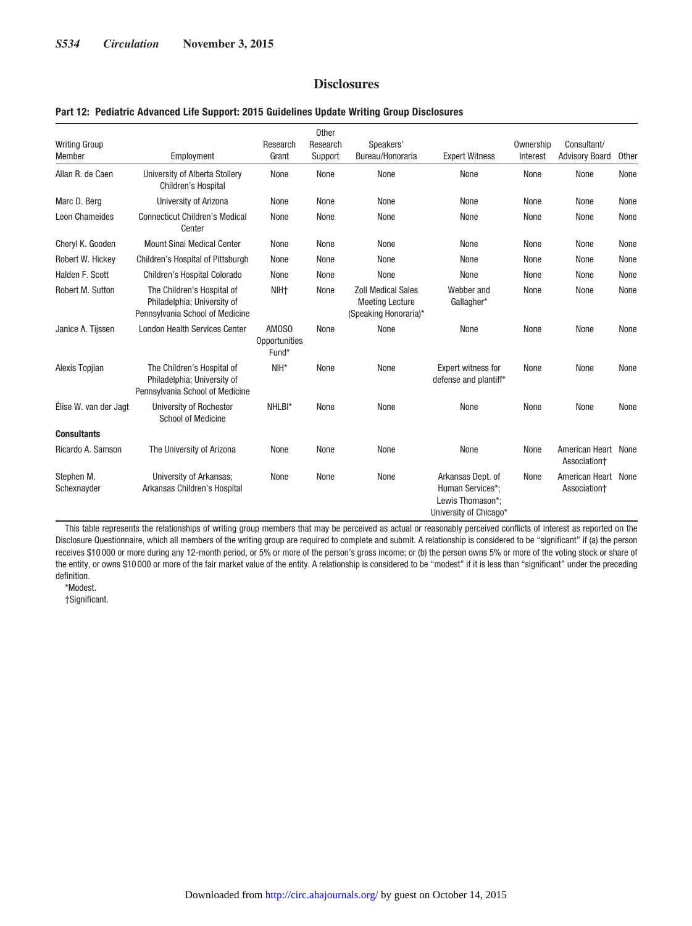## **Disclosures**

#### **Part 12: Pediatric Advanced Life Support: 2015 Guidelines Update Writing Group Disclosures**

| <b>Writing Group</b><br>Member | Employment                                                                                   | Research<br>Grant               | Other<br>Research<br>Support | Speakers'<br>Bureau/Honoraria                                                | <b>Expert Witness</b>                                                               | Ownership<br>Interest | Consultant/<br><b>Advisory Board</b> | Other |
|--------------------------------|----------------------------------------------------------------------------------------------|---------------------------------|------------------------------|------------------------------------------------------------------------------|-------------------------------------------------------------------------------------|-----------------------|--------------------------------------|-------|
| Allan R. de Caen               | University of Alberta Stollery<br>Children's Hospital                                        | None                            | None                         | None                                                                         | None                                                                                | None                  | None                                 | None  |
| Marc D. Berg                   | University of Arizona                                                                        | None                            | None                         | None                                                                         | None                                                                                | None                  | None                                 | None  |
| <b>Leon Chameides</b>          | <b>Connecticut Children's Medical</b><br>Center                                              | None                            | None                         | None                                                                         | None                                                                                | None                  | None                                 | None  |
| Cheryl K. Gooden               | <b>Mount Sinai Medical Center</b>                                                            | None                            | None                         | None                                                                         | None                                                                                | None                  | None                                 | None  |
| Robert W. Hickey               | Children's Hospital of Pittsburgh                                                            | None                            | None                         | None                                                                         | None                                                                                | None                  | None                                 | None  |
| Halden F. Scott                | Children's Hospital Colorado                                                                 | None                            | None                         | None                                                                         | None                                                                                | None                  | None                                 | None  |
| Robert M. Sutton               | The Children's Hospital of<br>Philadelphia; University of<br>Pennsylvania School of Medicine | NIH <sub>†</sub>                | None                         | <b>Zoll Medical Sales</b><br><b>Meeting Lecture</b><br>(Speaking Honoraria)* | Webber and<br>Gallagher*                                                            | None                  | None                                 | None  |
| Janice A. Tijssen              | <b>London Health Services Center</b>                                                         | AM0S0<br>Opportunities<br>Fund* | None                         | None                                                                         | None                                                                                | None                  | None                                 | None  |
| Alexis Topjian                 | The Children's Hospital of<br>Philadelphia; University of<br>Pennsylvania School of Medicine | $NIH*$                          | None                         | None                                                                         | Expert witness for<br>defense and plantiff*                                         | None                  | None                                 | None  |
| Élise W. van der Jagt          | University of Rochester<br><b>School of Medicine</b>                                         | NHLBI*                          | None                         | None                                                                         | None                                                                                | None                  | None                                 | None  |
| <b>Consultants</b>             |                                                                                              |                                 |                              |                                                                              |                                                                                     |                       |                                      |       |
| Ricardo A. Samson              | The University of Arizona                                                                    | None                            | None                         | None                                                                         | None                                                                                | None                  | American Heart<br>Association+       | None  |
| Stephen M.<br>Schexnayder      | University of Arkansas;<br>Arkansas Children's Hospital                                      | None                            | None                         | None                                                                         | Arkansas Dept. of<br>Human Services*:<br>Lewis Thomason*:<br>University of Chicago* | None                  | American Heart<br>Association+       | None  |

This table represents the relationships of writing group members that may be perceived as actual or reasonably perceived conflicts of interest as reported on the Disclosure Questionnaire, which all members of the writing group are required to complete and submit. A relationship is considered to be "significant" if (a) the person receives \$10 000 or more during any 12-month period, or 5% or more of the person's gross income; or (b) the person owns 5% or more of the voting stock or share of the entity, or owns \$10 000 or more of the fair market value of the entity. A relationship is considered to be "modest" if it is less than "significant" under the preceding definition.

\*Modest.

†Significant.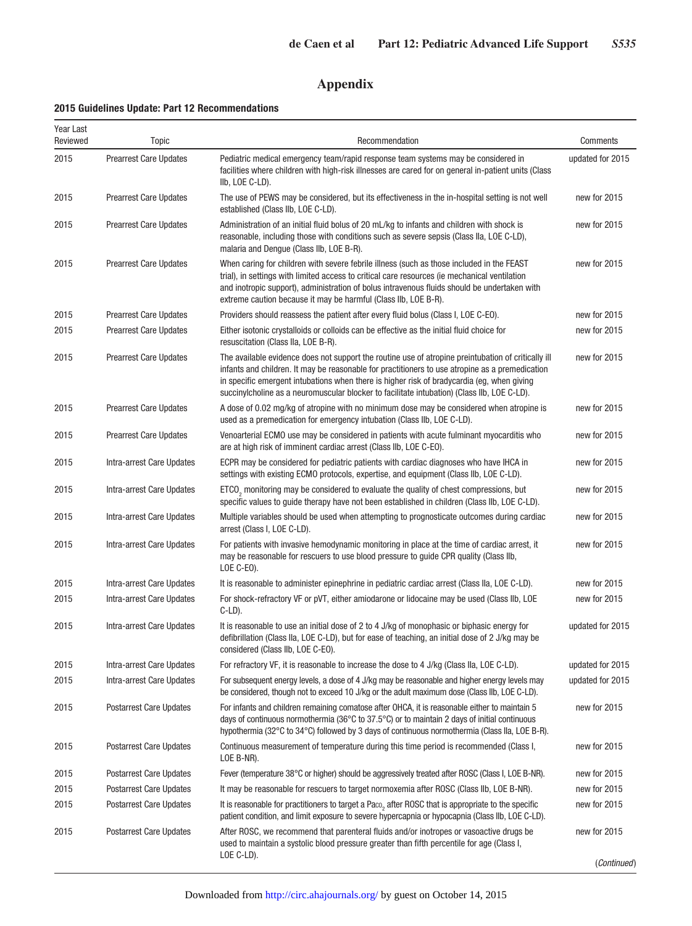# **Appendix**

## **2015 Guidelines Update: Part 12 Recommendations**

| Year Last<br>Reviewed | Topic                          | Recommendation                                                                                                                                                                                                                                                                                                                                                                                      | Comments         |
|-----------------------|--------------------------------|-----------------------------------------------------------------------------------------------------------------------------------------------------------------------------------------------------------------------------------------------------------------------------------------------------------------------------------------------------------------------------------------------------|------------------|
| 2015                  | <b>Prearrest Care Updates</b>  | Pediatric medical emergency team/rapid response team systems may be considered in<br>facilities where children with high-risk illnesses are cared for on general in-patient units (Class<br>IIb, LOE C-LD).                                                                                                                                                                                         | updated for 2015 |
| 2015                  | <b>Prearrest Care Updates</b>  | The use of PEWS may be considered, but its effectiveness in the in-hospital setting is not well<br>established (Class IIb, LOE C-LD).                                                                                                                                                                                                                                                               | new for 2015     |
| 2015                  | <b>Prearrest Care Updates</b>  | Administration of an initial fluid bolus of 20 mL/kg to infants and children with shock is<br>reasonable, including those with conditions such as severe sepsis (Class IIa, LOE C-LD),<br>malaria and Denque (Class IIb, LOE B-R).                                                                                                                                                                  | new for 2015     |
| 2015                  | <b>Prearrest Care Updates</b>  | When caring for children with severe febrile illness (such as those included in the FEAST<br>trial), in settings with limited access to critical care resources (ie mechanical ventilation<br>and inotropic support), administration of bolus intravenous fluids should be undertaken with<br>extreme caution because it may be harmful (Class IIb, LOE B-R).                                       | new for 2015     |
| 2015                  | <b>Prearrest Care Updates</b>  | Providers should reassess the patient after every fluid bolus (Class I, LOE C-EO).                                                                                                                                                                                                                                                                                                                  | new for 2015     |
| 2015                  | <b>Prearrest Care Updates</b>  | Either isotonic crystalloids or colloids can be effective as the initial fluid choice for<br>resuscitation (Class IIa, LOE B-R).                                                                                                                                                                                                                                                                    | new for 2015     |
| 2015                  | <b>Prearrest Care Updates</b>  | The available evidence does not support the routine use of atropine preintubation of critically ill<br>infants and children. It may be reasonable for practitioners to use atropine as a premedication<br>in specific emergent intubations when there is higher risk of bradycardia (eg, when giving<br>succinylcholine as a neuromuscular blocker to facilitate intubation) (Class IIb, LOE C-LD). | new for 2015     |
| 2015                  | <b>Prearrest Care Updates</b>  | A dose of 0.02 mg/kg of atropine with no minimum dose may be considered when atropine is<br>used as a premedication for emergency intubation (Class IIb, LOE C-LD).                                                                                                                                                                                                                                 | new for 2015     |
| 2015                  | <b>Prearrest Care Updates</b>  | Venoarterial ECMO use may be considered in patients with acute fulminant myocarditis who<br>are at high risk of imminent cardiac arrest (Class IIb, LOE C-EO).                                                                                                                                                                                                                                      | new for 2015     |
| 2015                  | Intra-arrest Care Updates      | ECPR may be considered for pediatric patients with cardiac diagnoses who have IHCA in<br>settings with existing ECMO protocols, expertise, and equipment (Class IIb, LOE C-LD).                                                                                                                                                                                                                     | new for 2015     |
| 2015                  | Intra-arrest Care Updates      | ETCO <sub>2</sub> monitoring may be considered to evaluate the quality of chest compressions, but<br>specific values to guide therapy have not been established in children (Class IIb, LOE C-LD).                                                                                                                                                                                                  | new for 2015     |
| 2015                  | Intra-arrest Care Updates      | Multiple variables should be used when attempting to prognosticate outcomes during cardiac<br>arrest (Class I, LOE C-LD).                                                                                                                                                                                                                                                                           | new for 2015     |
| 2015                  | Intra-arrest Care Updates      | For patients with invasive hemodynamic monitoring in place at the time of cardiac arrest, it<br>may be reasonable for rescuers to use blood pressure to guide CPR quality (Class IIb,<br>LOE C-EO).                                                                                                                                                                                                 | new for 2015     |
| 2015                  | Intra-arrest Care Updates      | It is reasonable to administer epinephrine in pediatric cardiac arrest (Class IIa, LOE C-LD).                                                                                                                                                                                                                                                                                                       | new for 2015     |
| 2015                  | Intra-arrest Care Updates      | For shock-refractory VF or pVT, either amiodarone or lidocaine may be used (Class IIb, LOE<br>$C-LD$ ).                                                                                                                                                                                                                                                                                             | new for 2015     |
| 2015                  | Intra-arrest Care Updates      | It is reasonable to use an initial dose of 2 to 4 J/kg of monophasic or biphasic energy for<br>defibrillation (Class IIa, LOE C-LD), but for ease of teaching, an initial dose of 2 J/kg may be<br>considered (Class IIb, LOE C-EO).                                                                                                                                                                | updated for 2015 |
| 2015                  | Intra-arrest Care Updates      | For refractory VF, it is reasonable to increase the dose to 4 J/kg (Class IIa, LOE C-LD).                                                                                                                                                                                                                                                                                                           | updated for 2015 |
| 2015                  | Intra-arrest Care Updates      | For subsequent energy levels, a dose of 4 J/kg may be reasonable and higher energy levels may<br>be considered, though not to exceed 10 J/kg or the adult maximum dose (Class IIb, LOE C-LD).                                                                                                                                                                                                       | updated for 2015 |
| 2015                  | <b>Postarrest Care Updates</b> | For infants and children remaining comatose after OHCA, it is reasonable either to maintain 5<br>days of continuous normothermia (36°C to 37.5°C) or to maintain 2 days of initial continuous<br>hypothermia (32°C to 34°C) followed by 3 days of continuous normothermia (Class IIa, LOE B-R).                                                                                                     | new for 2015     |
| 2015                  | <b>Postarrest Care Updates</b> | Continuous measurement of temperature during this time period is recommended (Class I,<br>LOE B-NR).                                                                                                                                                                                                                                                                                                | new for 2015     |
| 2015                  | <b>Postarrest Care Updates</b> | Fever (temperature 38°C or higher) should be aggressively treated after ROSC (Class I, LOE B-NR).                                                                                                                                                                                                                                                                                                   | new for 2015     |
| 2015                  | <b>Postarrest Care Updates</b> | It may be reasonable for rescuers to target normoxemia after ROSC (Class IIb, LOE B-NR).                                                                                                                                                                                                                                                                                                            | new for 2015     |
| 2015                  | <b>Postarrest Care Updates</b> | It is reasonable for practitioners to target a Paco <sub>2</sub> after ROSC that is appropriate to the specific<br>patient condition, and limit exposure to severe hypercapnia or hypocapnia (Class IIb, LOE C-LD).                                                                                                                                                                                 | new for 2015     |
| 2015                  | <b>Postarrest Care Updates</b> | After ROSC, we recommend that parenteral fluids and/or inotropes or vasoactive drugs be<br>used to maintain a systolic blood pressure greater than fifth percentile for age (Class I,                                                                                                                                                                                                               | new for 2015     |
|                       |                                | LOE C-LD).                                                                                                                                                                                                                                                                                                                                                                                          | (Continued)      |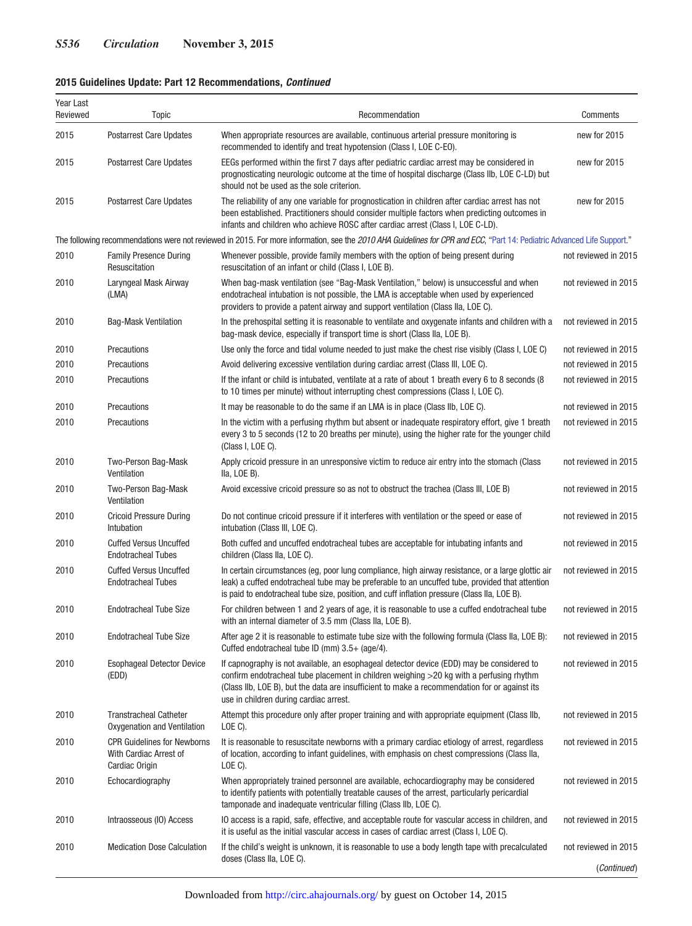## **2015 Guidelines Update: Part 12 Recommendations,** *Continued*

| Year Last<br>Reviewed | Topic                                                                          | Recommendation                                                                                                                                                                                                                                                                                                                  | Comments             |
|-----------------------|--------------------------------------------------------------------------------|---------------------------------------------------------------------------------------------------------------------------------------------------------------------------------------------------------------------------------------------------------------------------------------------------------------------------------|----------------------|
| 2015                  | <b>Postarrest Care Updates</b>                                                 | When appropriate resources are available, continuous arterial pressure monitoring is<br>recommended to identify and treat hypotension (Class I, LOE C-EO).                                                                                                                                                                      | new for 2015         |
| 2015                  | <b>Postarrest Care Updates</b>                                                 | EEGs performed within the first 7 days after pediatric cardiac arrest may be considered in<br>prognosticating neurologic outcome at the time of hospital discharge (Class IIb, LOE C-LD) but<br>should not be used as the sole criterion.                                                                                       | new for 2015         |
| 2015                  | <b>Postarrest Care Updates</b>                                                 | The reliability of any one variable for prognostication in children after cardiac arrest has not<br>been established. Practitioners should consider multiple factors when predicting outcomes in<br>infants and children who achieve ROSC after cardiac arrest (Class I, LOE C-LD).                                             | new for 2015         |
|                       |                                                                                | The following recommendations were not reviewed in 2015. For more information, see the 2010 AHA Guidelines for CPR and ECC, "Part 14: Pediatric Advanced Life Support."                                                                                                                                                         |                      |
| 2010                  | <b>Family Presence During</b><br>Resuscitation                                 | Whenever possible, provide family members with the option of being present during<br>resuscitation of an infant or child (Class I, LOE B).                                                                                                                                                                                      | not reviewed in 2015 |
| 2010                  | Laryngeal Mask Airway<br>(LMA)                                                 | When bag-mask ventilation (see "Bag-Mask Ventilation," below) is unsuccessful and when<br>endotracheal intubation is not possible, the LMA is acceptable when used by experienced<br>providers to provide a patent airway and support ventilation (Class IIa, LOE C).                                                           | not reviewed in 2015 |
| 2010                  | <b>Bag-Mask Ventilation</b>                                                    | In the prehospital setting it is reasonable to ventilate and oxygenate infants and children with a<br>bag-mask device, especially if transport time is short (Class IIa, LOE B).                                                                                                                                                | not reviewed in 2015 |
| 2010                  | Precautions                                                                    | Use only the force and tidal volume needed to just make the chest rise visibly (Class I, LOE C)                                                                                                                                                                                                                                 | not reviewed in 2015 |
| 2010                  | Precautions                                                                    | Avoid delivering excessive ventilation during cardiac arrest (Class III, LOE C).                                                                                                                                                                                                                                                | not reviewed in 2015 |
| 2010                  | Precautions                                                                    | If the infant or child is intubated, ventilate at a rate of about 1 breath every 6 to 8 seconds (8<br>to 10 times per minute) without interrupting chest compressions (Class I, LOE C).                                                                                                                                         | not reviewed in 2015 |
| 2010                  | Precautions                                                                    | It may be reasonable to do the same if an LMA is in place (Class IIb, LOE C).                                                                                                                                                                                                                                                   | not reviewed in 2015 |
| 2010                  | Precautions                                                                    | In the victim with a perfusing rhythm but absent or inadequate respiratory effort, give 1 breath<br>every 3 to 5 seconds (12 to 20 breaths per minute), using the higher rate for the younger child<br>(Class I, LOE C).                                                                                                        | not reviewed in 2015 |
| 2010                  | Two-Person Bag-Mask<br>Ventilation                                             | Apply cricoid pressure in an unresponsive victim to reduce air entry into the stomach (Class<br>Ila, LOE B).                                                                                                                                                                                                                    | not reviewed in 2015 |
| 2010                  | Two-Person Bag-Mask<br>Ventilation                                             | Avoid excessive cricoid pressure so as not to obstruct the trachea (Class III, LOE B)                                                                                                                                                                                                                                           | not reviewed in 2015 |
| 2010                  | <b>Cricoid Pressure During</b><br>Intubation                                   | Do not continue cricoid pressure if it interferes with ventilation or the speed or ease of<br>intubation (Class III, LOE C).                                                                                                                                                                                                    | not reviewed in 2015 |
| 2010                  | <b>Cuffed Versus Uncuffed</b><br><b>Endotracheal Tubes</b>                     | Both cuffed and uncuffed endotracheal tubes are acceptable for intubating infants and<br>children (Class IIa, LOE C).                                                                                                                                                                                                           | not reviewed in 2015 |
| 2010                  | <b>Cuffed Versus Uncuffed</b><br><b>Endotracheal Tubes</b>                     | In certain circumstances (eg, poor lung compliance, high airway resistance, or a large glottic air<br>leak) a cuffed endotracheal tube may be preferable to an uncuffed tube, provided that attention<br>is paid to endotracheal tube size, position, and cuff inflation pressure (Class IIa, LOE B).                           | not reviewed in 2015 |
| 2010                  | <b>Endotracheal Tube Size</b>                                                  | For children between 1 and 2 years of age, it is reasonable to use a cuffed endotracheal tube<br>with an internal diameter of 3.5 mm (Class IIa, LOE B).                                                                                                                                                                        | not reviewed in 2015 |
| 2010                  | <b>Endotracheal Tube Size</b>                                                  | After age 2 it is reasonable to estimate tube size with the following formula (Class IIa, LOE B):<br>Cuffed endotracheal tube ID (mm) 3.5+ (age/4).                                                                                                                                                                             | not reviewed in 2015 |
| 2010                  | <b>Esophageal Detector Device</b><br>(EDD)                                     | If capnography is not available, an esophageal detector device (EDD) may be considered to<br>confirm endotracheal tube placement in children weighing >20 kg with a perfusing rhythm<br>(Class IIb, LOE B), but the data are insufficient to make a recommendation for or against its<br>use in children during cardiac arrest. | not reviewed in 2015 |
| 2010                  | <b>Transtracheal Catheter</b><br>Oxygenation and Ventilation                   | Attempt this procedure only after proper training and with appropriate equipment (Class IIb,<br>$LOE C$ ).                                                                                                                                                                                                                      | not reviewed in 2015 |
| 2010                  | <b>CPR Guidelines for Newborns</b><br>With Cardiac Arrest of<br>Cardiac Origin | It is reasonable to resuscitate newborns with a primary cardiac etiology of arrest, regardless<br>of location, according to infant guidelines, with emphasis on chest compressions (Class IIa,<br>LOE C).                                                                                                                       | not reviewed in 2015 |
| 2010                  | Echocardiography                                                               | When appropriately trained personnel are available, echocardiography may be considered<br>to identify patients with potentially treatable causes of the arrest, particularly pericardial<br>tamponade and inadequate ventricular filling (Class IIb, LOE C).                                                                    | not reviewed in 2015 |
| 2010                  | Intraosseous (IO) Access                                                       | IO access is a rapid, safe, effective, and acceptable route for vascular access in children, and<br>it is useful as the initial vascular access in cases of cardiac arrest (Class I, LOE C).                                                                                                                                    | not reviewed in 2015 |
| 2010                  | <b>Medication Dose Calculation</b>                                             | If the child's weight is unknown, it is reasonable to use a body length tape with precalculated                                                                                                                                                                                                                                 | not reviewed in 2015 |
|                       |                                                                                | doses (Class IIa, LOE C).                                                                                                                                                                                                                                                                                                       | (Continued)          |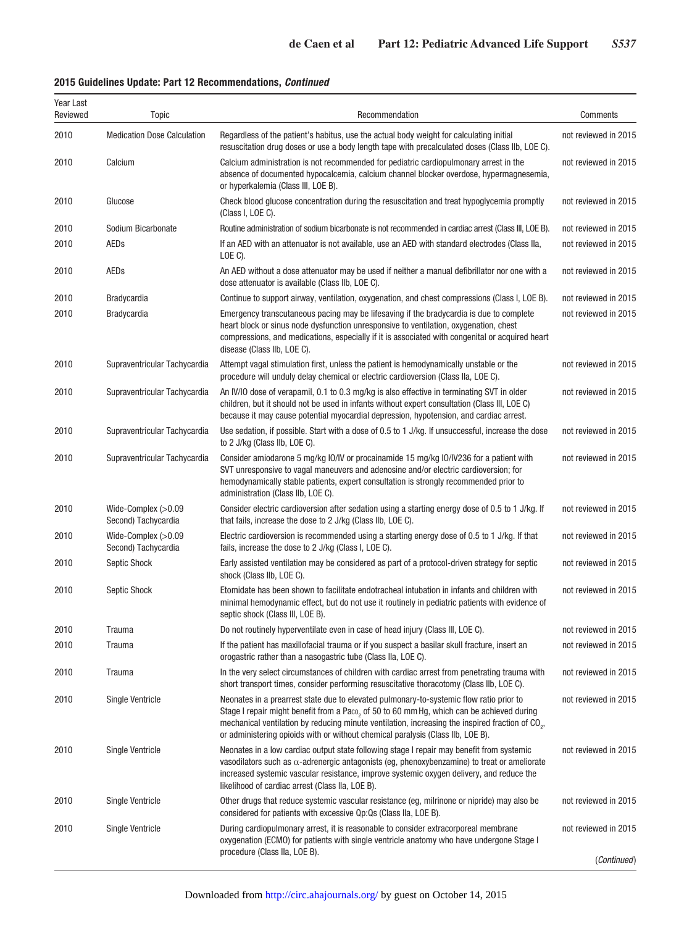## **2015 Guidelines Update: Part 12 Recommendations,** *Continued*

| Year Last<br>Reviewed | Topic                                      | Recommendation                                                                                                                                                                                                                                                                                                                                                                          | Comments             |
|-----------------------|--------------------------------------------|-----------------------------------------------------------------------------------------------------------------------------------------------------------------------------------------------------------------------------------------------------------------------------------------------------------------------------------------------------------------------------------------|----------------------|
| 2010                  | <b>Medication Dose Calculation</b>         | Regardless of the patient's habitus, use the actual body weight for calculating initial<br>resuscitation drug doses or use a body length tape with precalculated doses (Class IIb, LOE C).                                                                                                                                                                                              | not reviewed in 2015 |
| 2010                  | Calcium                                    | Calcium administration is not recommended for pediatric cardiopulmonary arrest in the<br>absence of documented hypocalcemia, calcium channel blocker overdose, hypermagnesemia,<br>or hyperkalemia (Class III, LOE B).                                                                                                                                                                  | not reviewed in 2015 |
| 2010                  | Glucose                                    | Check blood glucose concentration during the resuscitation and treat hypoglycemia promptly<br>(Class I, LOE C).                                                                                                                                                                                                                                                                         | not reviewed in 2015 |
| 2010                  | Sodium Bicarbonate                         | Routine administration of sodium bicarbonate is not recommended in cardiac arrest (Class III, LOE B).                                                                                                                                                                                                                                                                                   | not reviewed in 2015 |
| 2010                  | <b>AEDs</b>                                | If an AED with an attenuator is not available, use an AED with standard electrodes (Class IIa,<br>$LOE C$ ).                                                                                                                                                                                                                                                                            | not reviewed in 2015 |
| 2010                  | AEDs                                       | An AED without a dose attenuator may be used if neither a manual defibrillator nor one with a<br>dose attenuator is available (Class IIb, LOE C).                                                                                                                                                                                                                                       | not reviewed in 2015 |
| 2010                  | <b>Bradycardia</b>                         | Continue to support airway, ventilation, oxygenation, and chest compressions (Class I, LOE B).                                                                                                                                                                                                                                                                                          | not reviewed in 2015 |
| 2010                  | <b>Bradycardia</b>                         | Emergency transcutaneous pacing may be lifesaving if the bradycardia is due to complete<br>heart block or sinus node dysfunction unresponsive to ventilation, oxygenation, chest<br>compressions, and medications, especially if it is associated with congenital or acquired heart<br>disease (Class IIb, LOE C).                                                                      | not reviewed in 2015 |
| 2010                  | Supraventricular Tachycardia               | Attempt vagal stimulation first, unless the patient is hemodynamically unstable or the<br>procedure will unduly delay chemical or electric cardioversion (Class IIa, LOE C).                                                                                                                                                                                                            | not reviewed in 2015 |
| 2010                  | Supraventricular Tachycardia               | An IV/IO dose of verapamil, 0.1 to 0.3 mg/kg is also effective in terminating SVT in older<br>children, but it should not be used in infants without expert consultation (Class III, LOE C)<br>because it may cause potential myocardial depression, hypotension, and cardiac arrest.                                                                                                   | not reviewed in 2015 |
| 2010                  | Supraventricular Tachycardia               | Use sedation, if possible. Start with a dose of 0.5 to 1 J/kg. If unsuccessful, increase the dose<br>to 2 J/kg (Class IIb, LOE C).                                                                                                                                                                                                                                                      | not reviewed in 2015 |
| 2010                  | Supraventricular Tachycardia               | Consider amiodarone 5 mg/kg IO/IV or procainamide 15 mg/kg IO/IV236 for a patient with<br>SVT unresponsive to vagal maneuvers and adenosine and/or electric cardioversion; for<br>hemodynamically stable patients, expert consultation is strongly recommended prior to<br>administration (Class IIb, LOE C).                                                                           | not reviewed in 2015 |
| 2010                  | Wide-Complex (>0.09<br>Second) Tachycardia | Consider electric cardioversion after sedation using a starting energy dose of 0.5 to 1 J/kg. If<br>that fails, increase the dose to 2 J/kg (Class IIb, LOE C).                                                                                                                                                                                                                         | not reviewed in 2015 |
| 2010                  | Wide-Complex (>0.09<br>Second) Tachycardia | Electric cardioversion is recommended using a starting energy dose of 0.5 to 1 J/kg. If that<br>fails, increase the dose to 2 J/kg (Class I, LOE C).                                                                                                                                                                                                                                    | not reviewed in 2015 |
| 2010                  | Septic Shock                               | Early assisted ventilation may be considered as part of a protocol-driven strategy for septic<br>shock (Class IIb, LOE C).                                                                                                                                                                                                                                                              | not reviewed in 2015 |
| 2010                  | Septic Shock                               | Etomidate has been shown to facilitate endotracheal intubation in infants and children with<br>minimal hemodynamic effect, but do not use it routinely in pediatric patients with evidence of<br>septic shock (Class III, LOE B).                                                                                                                                                       | not reviewed in 2015 |
| 2010                  | Trauma                                     | Do not routinely hyperventilate even in case of head injury (Class III, LOE C).                                                                                                                                                                                                                                                                                                         | not reviewed in 2015 |
| 2010                  | Trauma                                     | If the patient has maxillofacial trauma or if you suspect a basilar skull fracture, insert an<br>orogastric rather than a nasogastric tube (Class IIa, LOE C).                                                                                                                                                                                                                          | not reviewed in 2015 |
| 2010                  | Trauma                                     | In the very select circumstances of children with cardiac arrest from penetrating trauma with<br>short transport times, consider performing resuscitative thoracotomy (Class IIb, LOE C).                                                                                                                                                                                               | not reviewed in 2015 |
| 2010                  | Single Ventricle                           | Neonates in a prearrest state due to elevated pulmonary-to-systemic flow ratio prior to<br>Stage I repair might benefit from a Paco, of 50 to 60 mm Hg, which can be achieved during<br>mechanical ventilation by reducing minute ventilation, increasing the inspired fraction of CO <sub>2</sub> ,<br>or administering opioids with or without chemical paralysis (Class IIb, LOE B). | not reviewed in 2015 |
| 2010                  | <b>Single Ventricle</b>                    | Neonates in a low cardiac output state following stage I repair may benefit from systemic<br>vasodilators such as $\alpha$ -adrenergic antagonists (eq. phenoxybenzamine) to treat or ameliorate<br>increased systemic vascular resistance, improve systemic oxygen delivery, and reduce the<br>likelihood of cardiac arrest (Class IIa, LOE B).                                        | not reviewed in 2015 |
| 2010                  | <b>Single Ventricle</b>                    | Other drugs that reduce systemic vascular resistance (eg, milrinone or nipride) may also be<br>considered for patients with excessive Qp:Qs (Class IIa, LOE B).                                                                                                                                                                                                                         | not reviewed in 2015 |
| 2010                  | <b>Single Ventricle</b>                    | During cardiopulmonary arrest, it is reasonable to consider extracorporeal membrane<br>oxygenation (ECMO) for patients with single ventricle anatomy who have undergone Stage I<br>procedure (Class IIa, LOE B).                                                                                                                                                                        | not reviewed in 2015 |
|                       |                                            |                                                                                                                                                                                                                                                                                                                                                                                         | (Continued)          |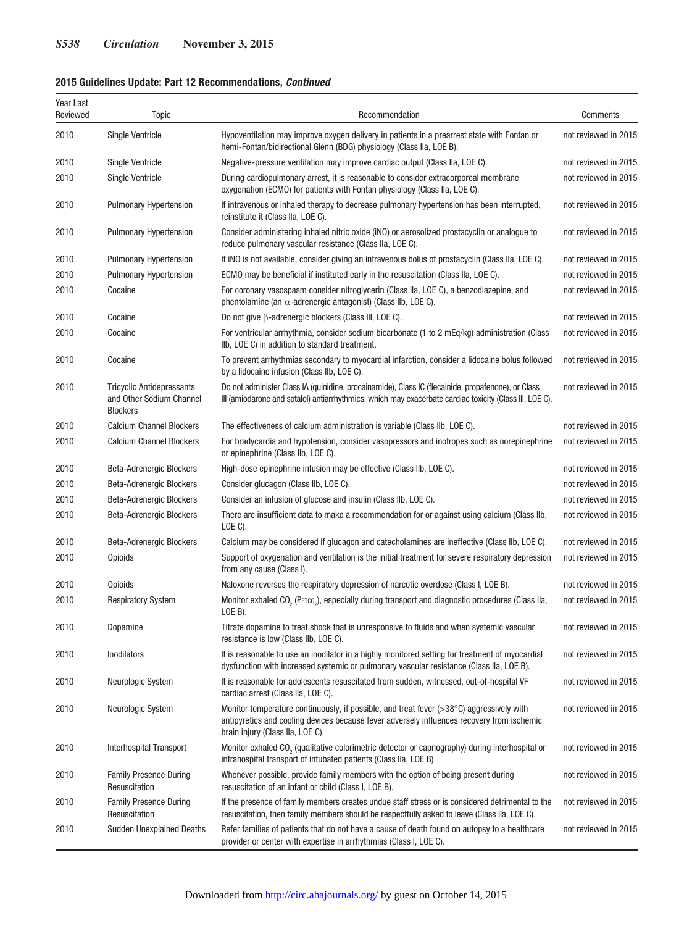## **2015 Guidelines Update: Part 12 Recommendations,** *Continued*

| Year Last<br>Reviewed | Topic                                                                           | Recommendation                                                                                                                                                                                                                      | Comments             |
|-----------------------|---------------------------------------------------------------------------------|-------------------------------------------------------------------------------------------------------------------------------------------------------------------------------------------------------------------------------------|----------------------|
| 2010                  | <b>Single Ventricle</b>                                                         | Hypoventilation may improve oxygen delivery in patients in a prearrest state with Fontan or<br>hemi-Fontan/bidirectional Glenn (BDG) physiology (Class IIa, LOE B).                                                                 | not reviewed in 2015 |
| 2010                  | <b>Single Ventricle</b>                                                         | Negative-pressure ventilation may improve cardiac output (Class IIa, LOE C).                                                                                                                                                        | not reviewed in 2015 |
| 2010                  | <b>Single Ventricle</b>                                                         | During cardiopulmonary arrest, it is reasonable to consider extracorporeal membrane<br>oxygenation (ECMO) for patients with Fontan physiology (Class IIa, LOE C).                                                                   | not reviewed in 2015 |
| 2010                  | <b>Pulmonary Hypertension</b>                                                   | If intravenous or inhaled therapy to decrease pulmonary hypertension has been interrupted,<br>reinstitute it (Class IIa, LOE C).                                                                                                    | not reviewed in 2015 |
| 2010                  | Pulmonary Hypertension                                                          | Consider administering inhaled nitric oxide (iNO) or aerosolized prostacyclin or analogue to<br>reduce pulmonary vascular resistance (Class IIa, LOE C).                                                                            | not reviewed in 2015 |
| 2010                  | Pulmonary Hypertension                                                          | If iNO is not available, consider giving an intravenous bolus of prostacyclin (Class IIa, LOE C).                                                                                                                                   | not reviewed in 2015 |
| 2010                  | <b>Pulmonary Hypertension</b>                                                   | ECMO may be beneficial if instituted early in the resuscitation (Class IIa, LOE C).                                                                                                                                                 | not reviewed in 2015 |
| 2010                  | Cocaine                                                                         | For coronary vasospasm consider nitroglycerin (Class IIa, LOE C), a benzodiazepine, and<br>phentolamine (an $\alpha$ -adrenergic antagonist) (Class IIb, LOE C).                                                                    | not reviewed in 2015 |
| 2010                  | Cocaine                                                                         | Do not give $\beta$ -adrenergic blockers (Class III, LOE C).                                                                                                                                                                        | not reviewed in 2015 |
| 2010                  | Cocaine                                                                         | For ventricular arrhythmia, consider sodium bicarbonate (1 to 2 mEq/kg) administration (Class<br>IIb, LOE C) in addition to standard treatment.                                                                                     | not reviewed in 2015 |
| 2010                  | Cocaine                                                                         | To prevent arrhythmias secondary to myocardial infarction, consider a lidocaine bolus followed<br>by a lidocaine infusion (Class IIb, LOE C).                                                                                       | not reviewed in 2015 |
| 2010                  | <b>Tricyclic Antidepressants</b><br>and Other Sodium Channel<br><b>Blockers</b> | Do not administer Class IA (quinidine, procainamide), Class IC (flecainide, propafenone), or Class<br>III (amiodarone and sotalol) antiarrhythmics, which may exacerbate cardiac toxicity (Class III, LOE C).                       | not reviewed in 2015 |
| 2010                  | <b>Calcium Channel Blockers</b>                                                 | The effectiveness of calcium administration is variable (Class IIb, LOE C).                                                                                                                                                         | not reviewed in 2015 |
| 2010                  | <b>Calcium Channel Blockers</b>                                                 | For bradycardia and hypotension, consider vasopressors and inotropes such as norepinephrine<br>or epinephrine (Class IIb, LOE C).                                                                                                   | not reviewed in 2015 |
| 2010                  | <b>Beta-Adrenergic Blockers</b>                                                 | High-dose epinephrine infusion may be effective (Class IIb, LOE C).                                                                                                                                                                 | not reviewed in 2015 |
| 2010                  | Beta-Adrenergic Blockers                                                        | Consider glucagon (Class IIb, LOE C).                                                                                                                                                                                               | not reviewed in 2015 |
| 2010                  | Beta-Adrenergic Blockers                                                        | Consider an infusion of glucose and insulin (Class IIb, LOE C).                                                                                                                                                                     | not reviewed in 2015 |
| 2010                  | Beta-Adrenergic Blockers                                                        | There are insufficient data to make a recommendation for or against using calcium (Class IIb,<br>LOE C).                                                                                                                            | not reviewed in 2015 |
| 2010                  | Beta-Adrenergic Blockers                                                        | Calcium may be considered if glucagon and catecholamines are ineffective (Class IIb, LOE C).                                                                                                                                        | not reviewed in 2015 |
| 2010                  | Opioids                                                                         | Support of oxygenation and ventilation is the initial treatment for severe respiratory depression<br>from any cause (Class I).                                                                                                      | not reviewed in 2015 |
| 2010                  | Opioids                                                                         | Naloxone reverses the respiratory depression of narcotic overdose (Class I, LOE B).                                                                                                                                                 | not reviewed in 2015 |
| 2010                  | <b>Respiratory System</b>                                                       | Monitor exhaled CO <sub>2</sub> (PETCO <sub>2</sub> ), especially during transport and diagnostic procedures (Class IIa,<br>LOE B).                                                                                                 | not reviewed in 2015 |
| 2010                  | Dopamine                                                                        | Titrate dopamine to treat shock that is unresponsive to fluids and when systemic vascular<br>resistance is low (Class IIb, LOE C).                                                                                                  | not reviewed in 2015 |
| 2010                  | Inodilators                                                                     | It is reasonable to use an inodilator in a highly monitored setting for treatment of myocardial<br>dysfunction with increased systemic or pulmonary vascular resistance (Class IIa, LOE B).                                         | not reviewed in 2015 |
| 2010                  | Neurologic System                                                               | It is reasonable for adolescents resuscitated from sudden, witnessed, out-of-hospital VF<br>cardiac arrest (Class IIa, LOE C).                                                                                                      | not reviewed in 2015 |
| 2010                  | Neurologic System                                                               | Monitor temperature continuously, if possible, and treat fever $(>38^{\circ}C)$ aggressively with<br>antipyretics and cooling devices because fever adversely influences recovery from ischemic<br>brain injury (Class IIa, LOE C). | not reviewed in 2015 |
| 2010                  | Interhospital Transport                                                         | Monitor exhaled CO <sub>2</sub> (qualitative colorimetric detector or capnography) during interhospital or<br>intrahospital transport of intubated patients (Class IIa, LOE B).                                                     | not reviewed in 2015 |
| 2010                  | <b>Family Presence During</b><br>Resuscitation                                  | Whenever possible, provide family members with the option of being present during<br>resuscitation of an infant or child (Class I, LOE B).                                                                                          | not reviewed in 2015 |
| 2010                  | <b>Family Presence During</b><br>Resuscitation                                  | If the presence of family members creates undue staff stress or is considered detrimental to the<br>resuscitation, then family members should be respectfully asked to leave (Class IIa, LOE C).                                    | not reviewed in 2015 |
| 2010                  | <b>Sudden Unexplained Deaths</b>                                                | Refer families of patients that do not have a cause of death found on autopsy to a healthcare<br>provider or center with expertise in arrhythmias (Class I, LOE C).                                                                 | not reviewed in 2015 |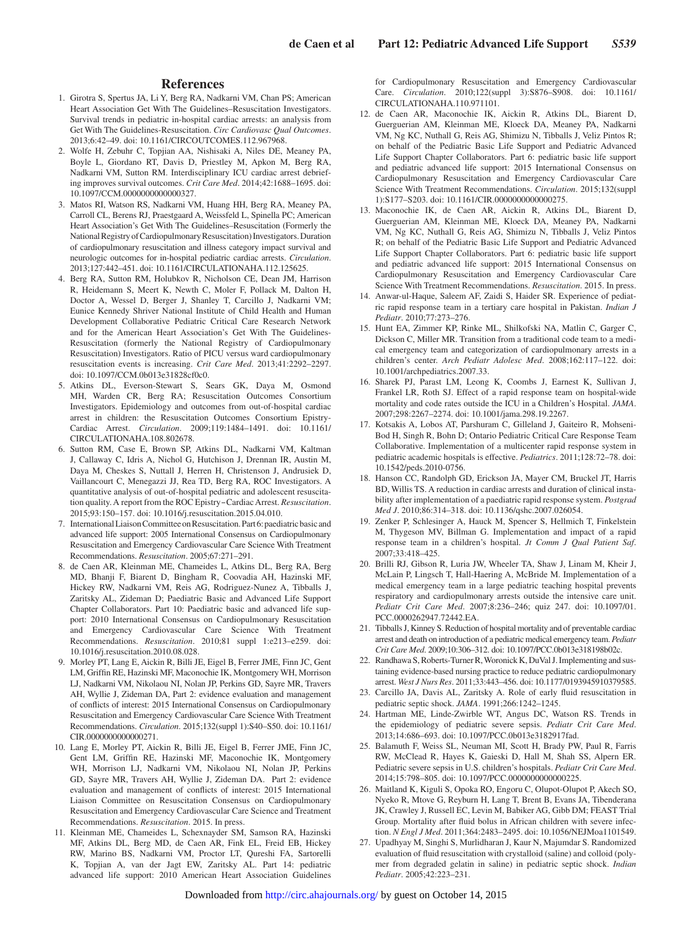#### **References**

- 1. Girotra S, Spertus JA, Li Y, Berg RA, Nadkarni VM, Chan PS; American Heart Association Get With The Guidelines–Resuscitation Investigators. Survival trends in pediatric in-hospital cardiac arrests: an analysis from Get With The Guidelines-Resuscitation. *Circ Cardiovasc Qual Outcomes*. 2013;6:42–49. doi: 10.1161/CIRCOUTCOMES.112.967968.
- 2. Wolfe H, Zebuhr C, Topjian AA, Nishisaki A, Niles DE, Meaney PA, Boyle L, Giordano RT, Davis D, Priestley M, Apkon M, Berg RA, Nadkarni VM, Sutton RM. Interdisciplinary ICU cardiac arrest debriefing improves survival outcomes. *Crit Care Med*. 2014;42:1688–1695. doi: 10.1097/CCM.0000000000000327.
- 3. Matos RI, Watson RS, Nadkarni VM, Huang HH, Berg RA, Meaney PA, Carroll CL, Berens RJ, Praestgaard A, Weissfeld L, Spinella PC; American Heart Association's Get With The Guidelines–Resuscitation (Formerly the National Registry of Cardiopulmonary Resuscitation) Investigators. Duration of cardiopulmonary resuscitation and illness category impact survival and neurologic outcomes for in-hospital pediatric cardiac arrests. *Circulation*. 2013;127:442–451. doi: 10.1161/CIRCULATIONAHA.112.125625.
- 4. Berg RA, Sutton RM, Holubkov R, Nicholson CE, Dean JM, Harrison R, Heidemann S, Meert K, Newth C, Moler F, Pollack M, Dalton H, Doctor A, Wessel D, Berger J, Shanley T, Carcillo J, Nadkarni VM; Eunice Kennedy Shriver National Institute of Child Health and Human Development Collaborative Pediatric Critical Care Research Network and for the American Heart Association's Get With The Guidelines-Resuscitation (formerly the National Registry of Cardiopulmonary Resuscitation) Investigators. Ratio of PICU versus ward cardiopulmonary resuscitation events is increasing. *Crit Care Med*. 2013;41:2292–2297. doi: 10.1097/CCM.0b013e31828cf0c0.
- 5. Atkins DL, Everson-Stewart S, Sears GK, Daya M, Osmond MH, Warden CR, Berg RA; Resuscitation Outcomes Consortium Investigators. Epidemiology and outcomes from out-of-hospital cardiac arrest in children: the Resuscitation Outcomes Consortium Epistry-Cardiac Arrest. *Circulation*. 2009;119:1484–1491. doi: 10.1161/ CIRCULATIONAHA.108.802678.
- 6. Sutton RM, Case E, Brown SP, Atkins DL, Nadkarni VM, Kaltman J, Callaway C, Idris A, Nichol G, Hutchison J, Drennan IR, Austin M, Daya M, Cheskes S, Nuttall J, Herren H, Christenson J, Andrusiek D, Vaillancourt C, Menegazzi JJ, Rea TD, Berg RA, ROC Investigators. A quantitative analysis of out-of-hospital pediatric and adolescent resuscitation quality. A report from the ROC Epistry‒Cardiac Arrest. *Resuscitation*. 2015;93:150–157. doi: 10.1016/j.resuscitation.2015.04.010.
- 7. International Liaison Committee on Resuscitation. Part 6: paediatric basic and advanced life support: 2005 International Consensus on Cardiopulmonary Resuscitation and Emergency Cardiovascular Care Science With Treatment Recommendations. *Resuscitation*. 2005;67:271–291.
- 8. de Caen AR, Kleinman ME, Chameides L, Atkins DL, Berg RA, Berg MD, Bhanji F, Biarent D, Bingham R, Coovadia AH, Hazinski MF, Hickey RW, Nadkarni VM, Reis AG, Rodriguez-Nunez A, Tibballs J, Zaritsky AL, Zideman D; Paediatric Basic and Advanced Life Support Chapter Collaborators. Part 10: Paediatric basic and advanced life support: 2010 International Consensus on Cardiopulmonary Resuscitation and Emergency Cardiovascular Care Science With Treatment Recommendations. *Resuscitation*. 2010;81 suppl 1:e213–e259. doi: 10.1016/j.resuscitation.2010.08.028.
- 9. Morley PT, Lang E, Aickin R, Billi JE, Eigel B, Ferrer JME, Finn JC, Gent LM, Griffin RE, Hazinski MF, Maconochie IK, Montgomery WH, Morrison LJ, Nadkarni VM, Nikolaou NI, Nolan JP, Perkins GD, Sayre MR, Travers AH, Wyllie J, Zideman DA, Part 2: evidence evaluation and management of conflicts of interest: 2015 International Consensus on Cardiopulmonary Resuscitation and Emergency Cardiovascular Care Science With Treatment Recommendations. *Circulation*. 2015;132(suppl 1):S40–S50. doi: 10.1161/ CIR.0000000000000271.
- 10. Lang E, Morley PT, Aickin R, Billi JE, Eigel B, Ferrer JME, Finn JC, Gent LM, Griffin RE, Hazinski MF, Maconochie IK, Montgomery WH, Morrison LJ, Nadkarni VM, Nikolaou NI, Nolan JP, Perkins GD, Sayre MR, Travers AH, Wyllie J, Zideman DA. Part 2: evidence evaluation and management of conflicts of interest: 2015 International Liaison Committee on Resuscitation Consensus on Cardiopulmonary Resuscitation and Emergency Cardiovascular Care Science and Treatment Recommendations. *Resuscitation*. 2015. In press.
- 11. Kleinman ME, Chameides L, Schexnayder SM, Samson RA, Hazinski MF, Atkins DL, Berg MD, de Caen AR, Fink EL, Freid EB, Hickey RW, Marino BS, Nadkarni VM, Proctor LT, Qureshi FA, Sartorelli K, Topjian A, van der Jagt EW, Zaritsky AL. Part 14: pediatric advanced life support: 2010 American Heart Association Guidelines

for Cardiopulmonary Resuscitation and Emergency Cardiovascular Care. *Circulation*. 2010;122(suppl 3):S876–S908. doi: 10.1161/ CIRCULATIONAHA.110.971101.

- 12. de Caen AR, Maconochie IK, Aickin R, Atkins DL, Biarent D, Guerguerian AM, Kleinman ME, Kloeck DA, Meaney PA, Nadkarni VM, Ng KC, Nuthall G, Reis AG, Shimizu N, Tibballs J, Veliz Pintos R; on behalf of the Pediatric Basic Life Support and Pediatric Advanced Life Support Chapter Collaborators. Part 6: pediatric basic life support and pediatric advanced life support: 2015 International Consensus on Cardiopulmonary Resuscitation and Emergency Cardiovascular Care Science With Treatment Recommendations. *Circulation*. 2015;132(suppl 1):S177–S203. doi: 10.1161/CIR.0000000000000275.
- 13. Maconochie IK, de Caen AR, Aickin R, Atkins DL, Biarent D, Guerguerian AM, Kleinman ME, Kloeck DA, Meaney PA, Nadkarni VM, Ng KC, Nuthall G, Reis AG, Shimizu N, Tibballs J, Veliz Pintos R; on behalf of the Pediatric Basic Life Support and Pediatric Advanced Life Support Chapter Collaborators. Part 6: pediatric basic life support and pediatric advanced life support: 2015 International Consensus on Cardiopulmonary Resuscitation and Emergency Cardiovascular Care Science With Treatment Recommendations. *Resuscitation*. 2015. In press.
- 14. Anwar-ul-Haque, Saleem AF, Zaidi S, Haider SR. Experience of pediatric rapid response team in a tertiary care hospital in Pakistan. *Indian J Pediatr*. 2010;77:273–276.
- 15. Hunt EA, Zimmer KP, Rinke ML, Shilkofski NA, Matlin C, Garger C, Dickson C, Miller MR. Transition from a traditional code team to a medical emergency team and categorization of cardiopulmonary arrests in a children's center. *Arch Pediatr Adolesc Med*. 2008;162:117–122. doi: 10.1001/archpediatrics.2007.33.
- 16. Sharek PJ, Parast LM, Leong K, Coombs J, Earnest K, Sullivan J, Frankel LR, Roth SJ. Effect of a rapid response team on hospital-wide mortality and code rates outside the ICU in a Children's Hospital. *JAMA*. 2007;298:2267–2274. doi: 10.1001/jama.298.19.2267.
- 17. Kotsakis A, Lobos AT, Parshuram C, Gilleland J, Gaiteiro R, Mohseni-Bod H, Singh R, Bohn D; Ontario Pediatric Critical Care Response Team Collaborative. Implementation of a multicenter rapid response system in pediatric academic hospitals is effective. *Pediatrics*. 2011;128:72–78. doi: 10.1542/peds.2010-0756.
- 18. Hanson CC, Randolph GD, Erickson JA, Mayer CM, Bruckel JT, Harris BD, Willis TS. A reduction in cardiac arrests and duration of clinical instability after implementation of a paediatric rapid response system. *Postgrad Med J*. 2010;86:314–318. doi: 10.1136/qshc.2007.026054.
- 19. Zenker P, Schlesinger A, Hauck M, Spencer S, Hellmich T, Finkelstein M, Thygeson MV, Billman G. Implementation and impact of a rapid response team in a children's hospital. *Jt Comm J Qual Patient Saf*. 2007;33:418–425.
- 20. Brilli RJ, Gibson R, Luria JW, Wheeler TA, Shaw J, Linam M, Kheir J, McLain P, Lingsch T, Hall-Haering A, McBride M. Implementation of a medical emergency team in a large pediatric teaching hospital prevents respiratory and cardiopulmonary arrests outside the intensive care unit. *Pediatr Crit Care Med*. 2007;8:236–246; quiz 247. doi: 10.1097/01. PCC.0000262947.72442.EA.
- 21. Tibballs J, Kinney S. Reduction of hospital mortality and of preventable cardiac arrest and death on introduction of a pediatric medical emergency team. *Pediatr Crit Care Med*. 2009;10:306–312. doi: 10.1097/PCC.0b013e318198b02c.
- 22. Randhawa S, Roberts-Turner R, Woronick K, DuVal J. Implementing and sustaining evidence-based nursing practice to reduce pediatric cardiopulmonary arrest. *West J Nurs Res*. 2011;33:443–456. doi: 10.1177/0193945910379585.
- 23. Carcillo JA, Davis AL, Zaritsky A. Role of early fluid resuscitation in pediatric septic shock. *JAMA*. 1991;266:1242–1245.
- 24. Hartman ME, Linde-Zwirble WT, Angus DC, Watson RS. Trends in the epidemiology of pediatric severe sepsis. *Pediatr Crit Care Med*. 2013;14:686–693. doi: 10.1097/PCC.0b013e3182917fad.
- 25. Balamuth F, Weiss SL, Neuman MI, Scott H, Brady PW, Paul R, Farris RW, McClead R, Hayes K, Gaieski D, Hall M, Shah SS, Alpern ER. Pediatric severe sepsis in U.S. children's hospitals. *Pediatr Crit Care Med*. 2014;15:798–805. doi: 10.1097/PCC.0000000000000225.
- 26. Maitland K, Kiguli S, Opoka RO, Engoru C, Olupot-Olupot P, Akech SO, Nyeko R, Mtove G, Reyburn H, Lang T, Brent B, Evans JA, Tibenderana JK, Crawley J, Russell EC, Levin M, Babiker AG, Gibb DM; FEAST Trial Group. Mortality after fluid bolus in African children with severe infection. *N Engl J Med*. 2011;364:2483–2495. doi: 10.1056/NEJMoa1101549.
- 27. Upadhyay M, Singhi S, Murlidharan J, Kaur N, Majumdar S. Randomized evaluation of fluid resuscitation with crystalloid (saline) and colloid (polymer from degraded gelatin in saline) in pediatric septic shock. *Indian Pediatr*. 2005;42:223–231.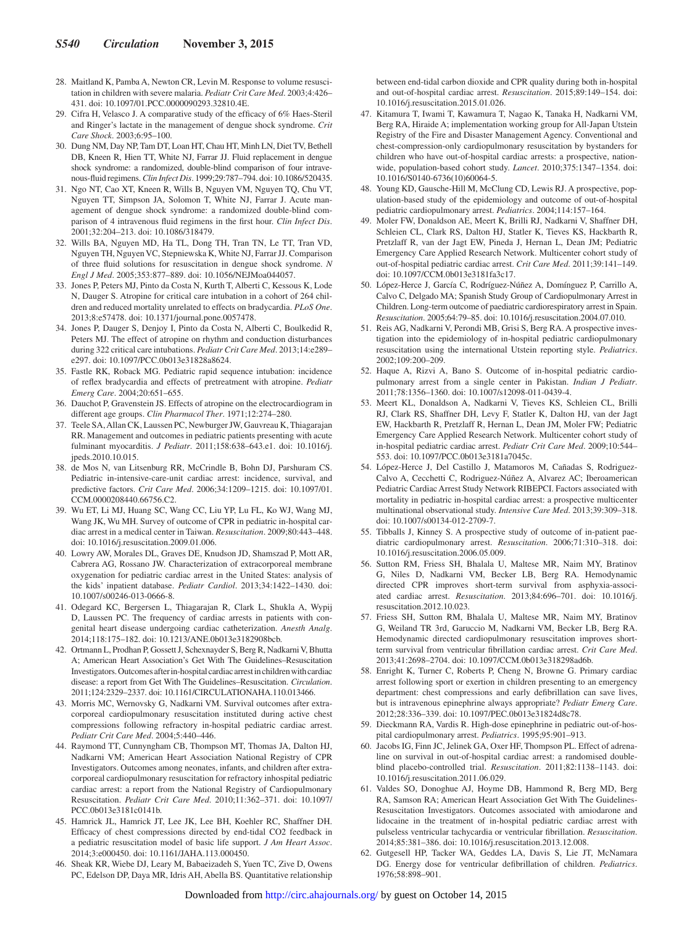- 28. Maitland K, Pamba A, Newton CR, Levin M. Response to volume resuscitation in children with severe malaria. *Pediatr Crit Care Med*. 2003;4:426– 431. doi: 10.1097/01.PCC.0000090293.32810.4E.
- 29. Cifra H, Velasco J. A comparative study of the efficacy of 6% Haes-Steril and Ringer's lactate in the management of dengue shock syndrome. *Crit Care Shock*. 2003;6:95–100.
- 30. Dung NM, Day NP, Tam DT, Loan HT, Chau HT, Minh LN, Diet TV, Bethell DB, Kneen R, Hien TT, White NJ, Farrar JJ. Fluid replacement in dengue shock syndrome: a randomized, double-blind comparison of four intravenous-fluid regimens. *Clin Infect Dis*. 1999;29:787–794. doi: 10.1086/520435.
- 31. Ngo NT, Cao XT, Kneen R, Wills B, Nguyen VM, Nguyen TQ, Chu VT, Nguyen TT, Simpson JA, Solomon T, White NJ, Farrar J. Acute management of dengue shock syndrome: a randomized double-blind comparison of 4 intravenous fluid regimens in the first hour. *Clin Infect Dis*. 2001;32:204–213. doi: 10.1086/318479.
- 32. Wills BA, Nguyen MD, Ha TL, Dong TH, Tran TN, Le TT, Tran VD, Nguyen TH, Nguyen VC, Stepniewska K, White NJ, Farrar JJ. Comparison of three fluid solutions for resuscitation in dengue shock syndrome. *N Engl J Med*. 2005;353:877–889. doi: 10.1056/NEJMoa044057.
- 33. Jones P, Peters MJ, Pinto da Costa N, Kurth T, Alberti C, Kessous K, Lode N, Dauger S. Atropine for critical care intubation in a cohort of 264 children and reduced mortality unrelated to effects on bradycardia. *PLoS One*. 2013;8:e57478. doi: 10.1371/journal.pone.0057478.
- 34. Jones P, Dauger S, Denjoy I, Pinto da Costa N, Alberti C, Boulkedid R, Peters MJ. The effect of atropine on rhythm and conduction disturbances during 322 critical care intubations. *Pediatr Crit Care Med*. 2013;14:e289– e297. doi: 10.1097/PCC.0b013e31828a8624.
- 35. Fastle RK, Roback MG. Pediatric rapid sequence intubation: incidence of reflex bradycardia and effects of pretreatment with atropine. *Pediatr Emerg Care*. 2004;20:651–655.
- 36. Dauchot P, Gravenstein JS. Effects of atropine on the electrocardiogram in different age groups. *Clin Pharmacol Ther*. 1971;12:274–280.
- 37. Teele SA, Allan CK, Laussen PC, Newburger JW, Gauvreau K, Thiagarajan RR. Management and outcomes in pediatric patients presenting with acute fulminant myocarditis. *J Pediatr*. 2011;158:638–643.e1. doi: 10.1016/j. jpeds.2010.10.015.
- 38. de Mos N, van Litsenburg RR, McCrindle B, Bohn DJ, Parshuram CS. Pediatric in-intensive-care-unit cardiac arrest: incidence, survival, and predictive factors. *Crit Care Med*. 2006;34:1209–1215. doi: 10.1097/01. CCM.0000208440.66756.C2.
- 39. Wu ET, Li MJ, Huang SC, Wang CC, Liu YP, Lu FL, Ko WJ, Wang MJ, Wang JK, Wu MH. Survey of outcome of CPR in pediatric in-hospital cardiac arrest in a medical center in Taiwan. *Resuscitation*. 2009;80:443–448. doi: 10.1016/j.resuscitation.2009.01.006.
- 40. Lowry AW, Morales DL, Graves DE, Knudson JD, Shamszad P, Mott AR, Cabrera AG, Rossano JW. Characterization of extracorporeal membrane oxygenation for pediatric cardiac arrest in the United States: analysis of the kids' inpatient database. *Pediatr Cardiol*. 2013;34:1422–1430. doi: 10.1007/s00246-013-0666-8.
- 41. Odegard KC, Bergersen L, Thiagarajan R, Clark L, Shukla A, Wypij D, Laussen PC. The frequency of cardiac arrests in patients with congenital heart disease undergoing cardiac catheterization. *Anesth Analg*. 2014;118:175–182. doi: 10.1213/ANE.0b013e3182908bcb.
- 42. Ortmann L, Prodhan P, Gossett J, Schexnayder S, Berg R, Nadkarni V, Bhutta A; American Heart Association's Get With The Guidelines–Resuscitation Investigators. Outcomes after in-hospital cardiac arrest in children with cardiac disease: a report from Get With The Guidelines–Resuscitation. *Circulation*. 2011;124:2329–2337. doi: 10.1161/CIRCULATIONAHA.110.013466.
- 43. Morris MC, Wernovsky G, Nadkarni VM. Survival outcomes after extracorporeal cardiopulmonary resuscitation instituted during active chest compressions following refractory in-hospital pediatric cardiac arrest. *Pediatr Crit Care Med*. 2004;5:440–446.
- 44. Raymond TT, Cunnyngham CB, Thompson MT, Thomas JA, Dalton HJ, Nadkarni VM; American Heart Association National Registry of CPR Investigators. Outcomes among neonates, infants, and children after extracorporeal cardiopulmonary resuscitation for refractory inhospital pediatric cardiac arrest: a report from the National Registry of Cardiopulmonary Resuscitation. *Pediatr Crit Care Med*. 2010;11:362–371. doi: 10.1097/ PCC.0b013e3181c0141b.
- 45. Hamrick JL, Hamrick JT, Lee JK, Lee BH, Koehler RC, Shaffner DH. Efficacy of chest compressions directed by end-tidal CO2 feedback in a pediatric resuscitation model of basic life support. *J Am Heart Assoc*. 2014;3:e000450. doi: 10.1161/JAHA.113.000450.
- 46. Sheak KR, Wiebe DJ, Leary M, Babaeizadeh S, Yuen TC, Zive D, Owens PC, Edelson DP, Daya MR, Idris AH, Abella BS. Quantitative relationship

between end-tidal carbon dioxide and CPR quality during both in-hospital and out-of-hospital cardiac arrest. *Resuscitation*. 2015;89:149–154. doi: 10.1016/j.resuscitation.2015.01.026.

- 47. Kitamura T, Iwami T, Kawamura T, Nagao K, Tanaka H, Nadkarni VM, Berg RA, Hiraide A; implementation working group for All-Japan Utstein Registry of the Fire and Disaster Management Agency. Conventional and chest-compression-only cardiopulmonary resuscitation by bystanders for children who have out-of-hospital cardiac arrests: a prospective, nationwide, population-based cohort study. *Lancet*. 2010;375:1347–1354. doi: 10.1016/S0140-6736(10)60064-5.
- 48. Young KD, Gausche-Hill M, McClung CD, Lewis RJ. A prospective, population-based study of the epidemiology and outcome of out-of-hospital pediatric cardiopulmonary arrest. *Pediatrics*. 2004;114:157–164.
- 49. Moler FW, Donaldson AE, Meert K, Brilli RJ, Nadkarni V, Shaffner DH, Schleien CL, Clark RS, Dalton HJ, Statler K, Tieves KS, Hackbarth R, Pretzlaff R, van der Jagt EW, Pineda J, Hernan L, Dean JM; Pediatric Emergency Care Applied Research Network. Multicenter cohort study of out-of-hospital pediatric cardiac arrest. *Crit Care Med*. 2011;39:141–149. doi: 10.1097/CCM.0b013e3181fa3c17.
- 50. López-Herce J, García C, Rodríguez-Núñez A, Domínguez P, Carrillo A, Calvo C, Delgado MA; Spanish Study Group of Cardiopulmonary Arrest in Children. Long-term outcome of paediatric cardiorespiratory arrest in Spain. *Resuscitation*. 2005;64:79–85. doi: 10.1016/j.resuscitation.2004.07.010.
- 51. Reis AG, Nadkarni V, Perondi MB, Grisi S, Berg RA. A prospective investigation into the epidemiology of in-hospital pediatric cardiopulmonary resuscitation using the international Utstein reporting style. *Pediatrics*. 2002;109:200–209.
- 52. Haque A, Rizvi A, Bano S. Outcome of in-hospital pediatric cardiopulmonary arrest from a single center in Pakistan. *Indian J Pediatr*. 2011;78:1356–1360. doi: 10.1007/s12098-011-0439-4.
- 53. Meert KL, Donaldson A, Nadkarni V, Tieves KS, Schleien CL, Brilli RJ, Clark RS, Shaffner DH, Levy F, Statler K, Dalton HJ, van der Jagt EW, Hackbarth R, Pretzlaff R, Hernan L, Dean JM, Moler FW; Pediatric Emergency Care Applied Research Network. Multicenter cohort study of in-hospital pediatric cardiac arrest. *Pediatr Crit Care Med*. 2009;10:544– 553. doi: 10.1097/PCC.0b013e3181a7045c.
- 54. López-Herce J, Del Castillo J, Matamoros M, Cañadas S, Rodriguez-Calvo A, Cecchetti C, Rodriguez-Núñez A, Alvarez AC; Iberoamerican Pediatric Cardiac Arrest Study Network RIBEPCI. Factors associated with mortality in pediatric in-hospital cardiac arrest: a prospective multicenter multinational observational study. *Intensive Care Med*. 2013;39:309–318. doi: 10.1007/s00134-012-2709-7.
- 55. Tibballs J, Kinney S. A prospective study of outcome of in-patient paediatric cardiopulmonary arrest. *Resuscitation*. 2006;71:310–318. doi: 10.1016/j.resuscitation.2006.05.009.
- 56. Sutton RM, Friess SH, Bhalala U, Maltese MR, Naim MY, Bratinov G, Niles D, Nadkarni VM, Becker LB, Berg RA. Hemodynamic directed CPR improves short-term survival from asphyxia-associated cardiac arrest. *Resuscitation*. 2013;84:696–701. doi: 10.1016/j. resuscitation.2012.10.023.
- 57. Friess SH, Sutton RM, Bhalala U, Maltese MR, Naim MY, Bratinov G, Weiland TR 3rd, Garuccio M, Nadkarni VM, Becker LB, Berg RA. Hemodynamic directed cardiopulmonary resuscitation improves shortterm survival from ventricular fibrillation cardiac arrest. *Crit Care Med*. 2013;41:2698–2704. doi: 10.1097/CCM.0b013e318298ad6b.
- 58. Enright K, Turner C, Roberts P, Cheng N, Browne G. Primary cardiac arrest following sport or exertion in children presenting to an emergency department: chest compressions and early defibrillation can save lives, but is intravenous epinephrine always appropriate? *Pediatr Emerg Care*. 2012;28:336–339. doi: 10.1097/PEC.0b013e31824d8c78.
- 59. Dieckmann RA, Vardis R. High-dose epinephrine in pediatric out-of-hospital cardiopulmonary arrest. *Pediatrics*. 1995;95:901–913.
- 60. Jacobs IG, Finn JC, Jelinek GA, Oxer HF, Thompson PL. Effect of adrenaline on survival in out-of-hospital cardiac arrest: a randomised doubleblind placebo-controlled trial. *Resuscitation*. 2011;82:1138–1143. doi: 10.1016/j.resuscitation.2011.06.029.
- 61. Valdes SO, Donoghue AJ, Hoyme DB, Hammond R, Berg MD, Berg RA, Samson RA; American Heart Association Get With The Guidelines-Resuscitation Investigators. Outcomes associated with amiodarone and lidocaine in the treatment of in-hospital pediatric cardiac arrest with pulseless ventricular tachycardia or ventricular fibrillation. *Resuscitation*. 2014;85:381–386. doi: 10.1016/j.resuscitation.2013.12.008.
- 62. Gutgesell HP, Tacker WA, Geddes LA, Davis S, Lie JT, McNamara DG. Energy dose for ventricular defibrillation of children. *Pediatrics*. 1976;58:898–901.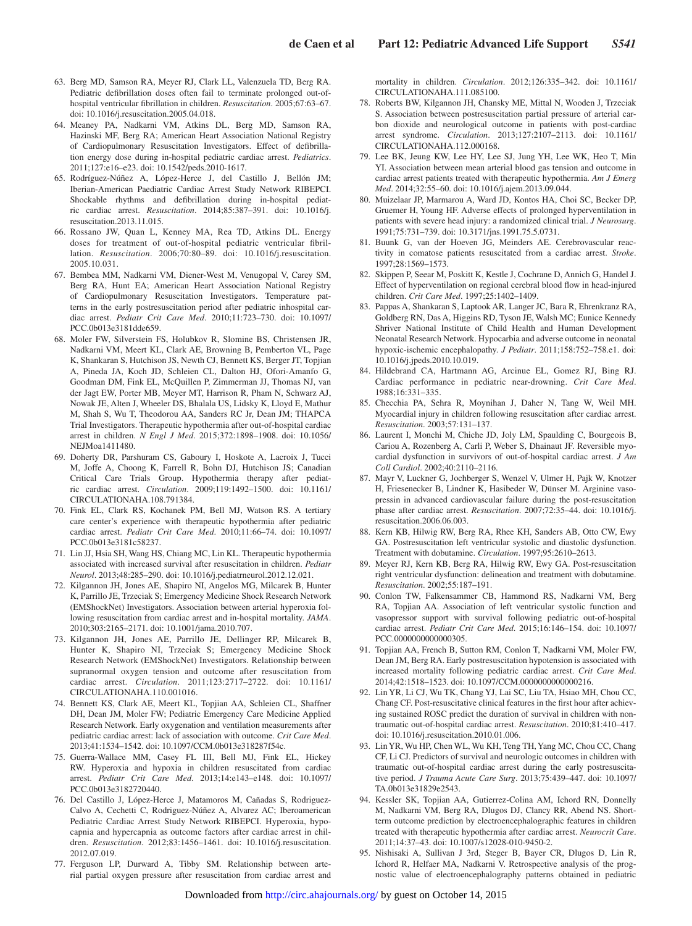- 63. Berg MD, Samson RA, Meyer RJ, Clark LL, Valenzuela TD, Berg RA. Pediatric defibrillation doses often fail to terminate prolonged out-ofhospital ventricular fibrillation in children. *Resuscitation*. 2005;67:63–67. doi: 10.1016/j.resuscitation.2005.04.018.
- 64. Meaney PA, Nadkarni VM, Atkins DL, Berg MD, Samson RA, Hazinski MF, Berg RA; American Heart Association National Registry of Cardiopulmonary Resuscitation Investigators. Effect of defibrillation energy dose during in-hospital pediatric cardiac arrest. *Pediatrics*. 2011;127:e16–e23. doi: 10.1542/peds.2010-1617.
- 65. Rodríguez-Núñez A, López-Herce J, del Castillo J, Bellón JM; Iberian-American Paediatric Cardiac Arrest Study Network RIBEPCI. Shockable rhythms and defibrillation during in-hospital pediatric cardiac arrest. *Resuscitation*. 2014;85:387–391. doi: 10.1016/j. resuscitation.2013.11.015.
- 66. Rossano JW, Quan L, Kenney MA, Rea TD, Atkins DL. Energy doses for treatment of out-of-hospital pediatric ventricular fibrillation. *Resuscitation*. 2006;70:80–89. doi: 10.1016/j.resuscitation. 2005.10.031.
- 67. Bembea MM, Nadkarni VM, Diener-West M, Venugopal V, Carey SM, Berg RA, Hunt EA; American Heart Association National Registry of Cardiopulmonary Resuscitation Investigators. Temperature patterns in the early postresuscitation period after pediatric inhospital cardiac arrest. *Pediatr Crit Care Med*. 2010;11:723–730. doi: 10.1097/ PCC.0b013e3181dde659.
- 68. Moler FW, Silverstein FS, Holubkov R, Slomine BS, Christensen JR, Nadkarni VM, Meert KL, Clark AE, Browning B, Pemberton VL, Page K, Shankaran S, Hutchison JS, Newth CJ, Bennett KS, Berger JT, Topjian A, Pineda JA, Koch JD, Schleien CL, Dalton HJ, Ofori-Amanfo G, Goodman DM, Fink EL, McQuillen P, Zimmerman JJ, Thomas NJ, van der Jagt EW, Porter MB, Meyer MT, Harrison R, Pham N, Schwarz AJ, Nowak JE, Alten J, Wheeler DS, Bhalala US, Lidsky K, Lloyd E, Mathur M, Shah S, Wu T, Theodorou AA, Sanders RC Jr, Dean JM; THAPCA Trial Investigators. Therapeutic hypothermia after out-of-hospital cardiac arrest in children. *N Engl J Med*. 2015;372:1898–1908. doi: 10.1056/ NEJMoa1411480.
- 69. Doherty DR, Parshuram CS, Gaboury I, Hoskote A, Lacroix J, Tucci M, Joffe A, Choong K, Farrell R, Bohn DJ, Hutchison JS; Canadian Critical Care Trials Group. Hypothermia therapy after pediatric cardiac arrest. *Circulation*. 2009;119:1492–1500. doi: 10.1161/ CIRCULATIONAHA.108.791384.
- 70. Fink EL, Clark RS, Kochanek PM, Bell MJ, Watson RS. A tertiary care center's experience with therapeutic hypothermia after pediatric cardiac arrest. *Pediatr Crit Care Med*. 2010;11:66–74. doi: 10.1097/ PCC.0b013e3181c58237.
- 71. Lin JJ, Hsia SH, Wang HS, Chiang MC, Lin KL. Therapeutic hypothermia associated with increased survival after resuscitation in children. *Pediatr Neurol*. 2013;48:285–290. doi: 10.1016/j.pediatrneurol.2012.12.021.
- 72. Kilgannon JH, Jones AE, Shapiro NI, Angelos MG, Milcarek B, Hunter K, Parrillo JE, Trzeciak S; Emergency Medicine Shock Research Network (EMShockNet) Investigators. Association between arterial hyperoxia following resuscitation from cardiac arrest and in-hospital mortality. *JAMA*. 2010;303:2165–2171. doi: 10.1001/jama.2010.707.
- 73. Kilgannon JH, Jones AE, Parrillo JE, Dellinger RP, Milcarek B, Hunter K, Shapiro NI, Trzeciak S; Emergency Medicine Shock Research Network (EMShockNet) Investigators. Relationship between supranormal oxygen tension and outcome after resuscitation from cardiac arrest. *Circulation*. 2011;123:2717–2722. doi: 10.1161/ CIRCULATIONAHA.110.001016.
- 74. Bennett KS, Clark AE, Meert KL, Topjian AA, Schleien CL, Shaffner DH, Dean JM, Moler FW; Pediatric Emergency Care Medicine Applied Research Network. Early oxygenation and ventilation measurements after pediatric cardiac arrest: lack of association with outcome. *Crit Care Med*. 2013;41:1534–1542. doi: 10.1097/CCM.0b013e318287f54c.
- 75. Guerra-Wallace MM, Casey FL III, Bell MJ, Fink EL, Hickey RW. Hyperoxia and hypoxia in children resuscitated from cardiac arrest. *Pediatr Crit Care Med*. 2013;14:e143–e148. doi: 10.1097/ PCC.0b013e3182720440.
- 76. Del Castillo J, López-Herce J, Matamoros M, Cañadas S, Rodriguez-Calvo A, Cechetti C, Rodriguez-Núñez A, Alvarez AC; Iberoamerican Pediatric Cardiac Arrest Study Network RIBEPCI. Hyperoxia, hypocapnia and hypercapnia as outcome factors after cardiac arrest in children. *Resuscitation*. 2012;83:1456–1461. doi: 10.1016/j.resuscitation. 2012.07.019.
- 77. Ferguson LP, Durward A, Tibby SM. Relationship between arterial partial oxygen pressure after resuscitation from cardiac arrest and

mortality in children. *Circulation*. 2012;126:335–342. doi: 10.1161/ CIRCULATIONAHA.111.085100.

- 78. Roberts BW, Kilgannon JH, Chansky ME, Mittal N, Wooden J, Trzeciak S. Association between postresuscitation partial pressure of arterial carbon dioxide and neurological outcome in patients with post-cardiac arrest syndrome. *Circulation*. 2013;127:2107–2113. doi: 10.1161/ CIRCULATIONAHA.112.000168.
- 79. Lee BK, Jeung KW, Lee HY, Lee SJ, Jung YH, Lee WK, Heo T, Min YI. Association between mean arterial blood gas tension and outcome in cardiac arrest patients treated with therapeutic hypothermia. *Am J Emerg Med*. 2014;32:55–60. doi: 10.1016/j.ajem.2013.09.044.
- 80. Muizelaar JP, Marmarou A, Ward JD, Kontos HA, Choi SC, Becker DP, Gruemer H, Young HF. Adverse effects of prolonged hyperventilation in patients with severe head injury: a randomized clinical trial. *J Neurosurg*. 1991;75:731–739. doi: 10.3171/jns.1991.75.5.0731.
- 81. Buunk G, van der Hoeven JG, Meinders AE. Cerebrovascular reactivity in comatose patients resuscitated from a cardiac arrest. *Stroke*. 1997;28:1569–1573.
- 82. Skippen P, Seear M, Poskitt K, Kestle J, Cochrane D, Annich G, Handel J. Effect of hyperventilation on regional cerebral blood flow in head-injured children. *Crit Care Med*. 1997;25:1402–1409.
- 83. Pappas A, Shankaran S, Laptook AR, Langer JC, Bara R, Ehrenkranz RA, Goldberg RN, Das A, Higgins RD, Tyson JE, Walsh MC; Eunice Kennedy Shriver National Institute of Child Health and Human Development Neonatal Research Network. Hypocarbia and adverse outcome in neonatal hypoxic-ischemic encephalopathy. *J Pediatr*. 2011;158:752–758.e1. doi: 10.1016/j.jpeds.2010.10.019.
- 84. Hildebrand CA, Hartmann AG, Arcinue EL, Gomez RJ, Bing RJ. Cardiac performance in pediatric near-drowning. *Crit Care Med*. 1988;16:331–335.
- 85. Checchia PA, Sehra R, Moynihan J, Daher N, Tang W, Weil MH. Myocardial injury in children following resuscitation after cardiac arrest. *Resuscitation*. 2003;57:131–137.
- 86. Laurent I, Monchi M, Chiche JD, Joly LM, Spaulding C, Bourgeois B, Cariou A, Rozenberg A, Carli P, Weber S, Dhainaut JF. Reversible myocardial dysfunction in survivors of out-of-hospital cardiac arrest. *J Am Coll Cardiol*. 2002;40:2110–2116.
- 87. Mayr V, Luckner G, Jochberger S, Wenzel V, Ulmer H, Pajk W, Knotzer H, Friesenecker B, Lindner K, Hasibeder W, Dünser M. Arginine vasopressin in advanced cardiovascular failure during the post-resuscitation phase after cardiac arrest. *Resuscitation*. 2007;72:35–44. doi: 10.1016/j. resuscitation.2006.06.003.
- 88. Kern KB, Hilwig RW, Berg RA, Rhee KH, Sanders AB, Otto CW, Ewy GA. Postresuscitation left ventricular systolic and diastolic dysfunction. Treatment with dobutamine. *Circulation*. 1997;95:2610–2613.
- 89. Meyer RJ, Kern KB, Berg RA, Hilwig RW, Ewy GA. Post-resuscitation right ventricular dysfunction: delineation and treatment with dobutamine. *Resuscitation*. 2002;55:187–191.
- 90. Conlon TW, Falkensammer CB, Hammond RS, Nadkarni VM, Berg RA, Topjian AA. Association of left ventricular systolic function and vasopressor support with survival following pediatric out-of-hospital cardiac arrest. *Pediatr Crit Care Med*. 2015;16:146–154. doi: 10.1097/ PCC.0000000000000305.
- 91. Topjian AA, French B, Sutton RM, Conlon T, Nadkarni VM, Moler FW, Dean JM, Berg RA. Early postresuscitation hypotension is associated with increased mortality following pediatric cardiac arrest. *Crit Care Med*. 2014;42:1518–1523. doi: 10.1097/CCM.0000000000000216.
- 92. Lin YR, Li CJ, Wu TK, Chang YJ, Lai SC, Liu TA, Hsiao MH, Chou CC, Chang CF. Post-resuscitative clinical features in the first hour after achieving sustained ROSC predict the duration of survival in children with nontraumatic out-of-hospital cardiac arrest. *Resuscitation*. 2010;81:410–417. doi: 10.1016/j.resuscitation.2010.01.006.
- 93. Lin YR, Wu HP, Chen WL, Wu KH, Teng TH, Yang MC, Chou CC, Chang CF, Li CJ. Predictors of survival and neurologic outcomes in children with traumatic out-of-hospital cardiac arrest during the early postresuscitative period. *J Trauma Acute Care Surg*. 2013;75:439–447. doi: 10.1097/ TA.0b013e31829e2543.
- 94. Kessler SK, Topjian AA, Gutierrez-Colina AM, Ichord RN, Donnelly M, Nadkarni VM, Berg RA, Dlugos DJ, Clancy RR, Abend NS. Shortterm outcome prediction by electroencephalographic features in children treated with therapeutic hypothermia after cardiac arrest. *Neurocrit Care*. 2011;14:37–43. doi: 10.1007/s12028-010-9450-2.
- 95. Nishisaki A, Sullivan J 3rd, Steger B, Bayer CR, Dlugos D, Lin R, Ichord R, Helfaer MA, Nadkarni V. Retrospective analysis of the prognostic value of electroencephalography patterns obtained in pediatric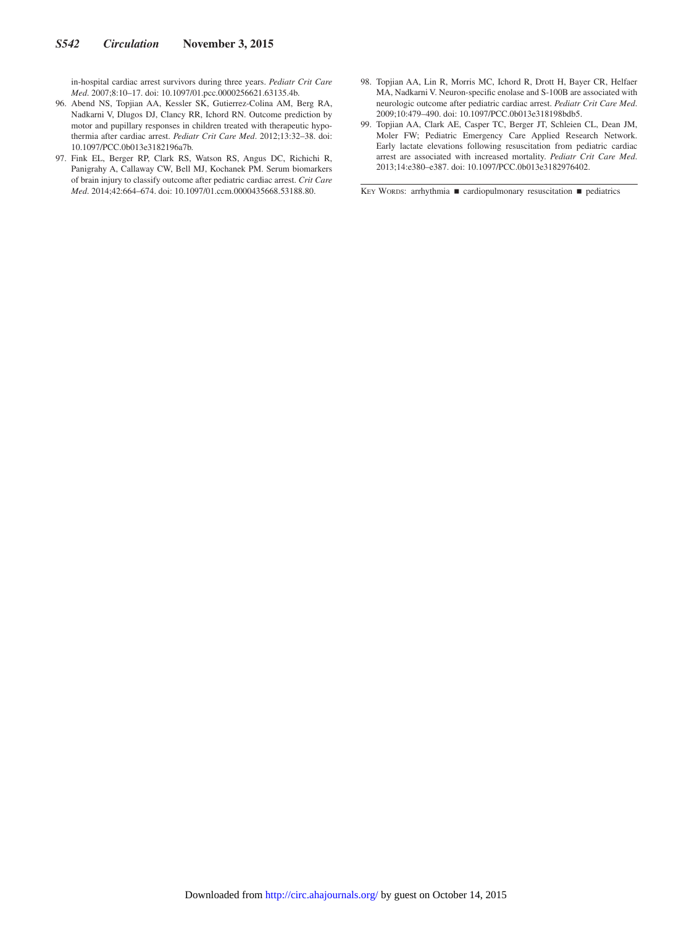in-hospital cardiac arrest survivors during three years. *Pediatr Crit Care Med*. 2007;8:10–17. doi: 10.1097/01.pcc.0000256621.63135.4b.

- 96. Abend NS, Topjian AA, Kessler SK, Gutierrez-Colina AM, Berg RA, Nadkarni V, Dlugos DJ, Clancy RR, Ichord RN. Outcome prediction by motor and pupillary responses in children treated with therapeutic hypothermia after cardiac arrest. *Pediatr Crit Care Med*. 2012;13:32–38. doi: 10.1097/PCC.0b013e3182196a7b.
- 97. Fink EL, Berger RP, Clark RS, Watson RS, Angus DC, Richichi R, Panigrahy A, Callaway CW, Bell MJ, Kochanek PM. Serum biomarkers of brain injury to classify outcome after pediatric cardiac arrest. *Crit Care Med*. 2014;42:664–674. doi: 10.1097/01.ccm.0000435668.53188.80.
- 98. Topjian AA, Lin R, Morris MC, Ichord R, Drott H, Bayer CR, Helfaer MA, Nadkarni V. Neuron-specific enolase and S-100B are associated with neurologic outcome after pediatric cardiac arrest. *Pediatr Crit Care Med*. 2009;10:479–490. doi: 10.1097/PCC.0b013e318198bdb5.
- 99. Topjian AA, Clark AE, Casper TC, Berger JT, Schleien CL, Dean JM, Moler FW; Pediatric Emergency Care Applied Research Network. Early lactate elevations following resuscitation from pediatric cardiac arrest are associated with increased mortality. *Pediatr Crit Care Med*. 2013;14:e380–e387. doi: 10.1097/PCC.0b013e3182976402.

KEY WORDS: arrhythmia ■ cardiopulmonary resuscitation ■ pediatrics